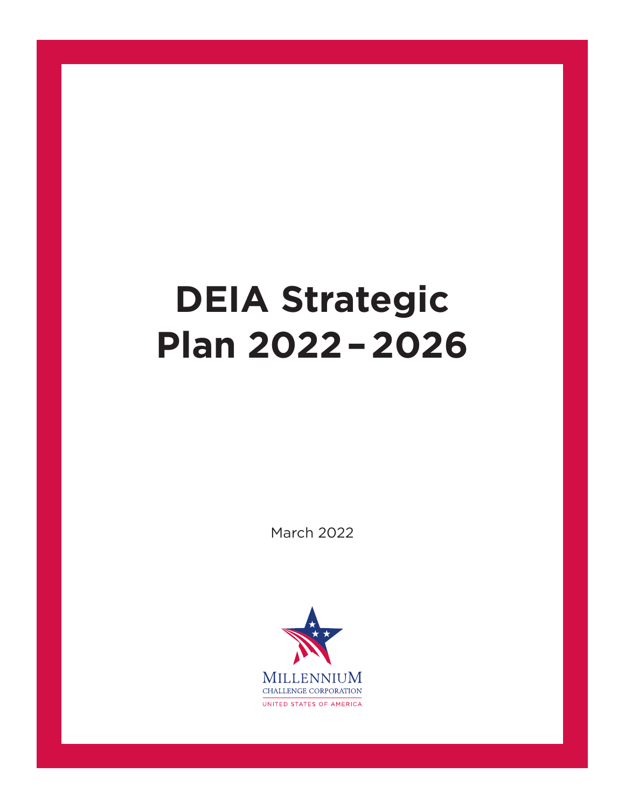# **DEIA Strategic Plan 2022 – 2026**

March 2022

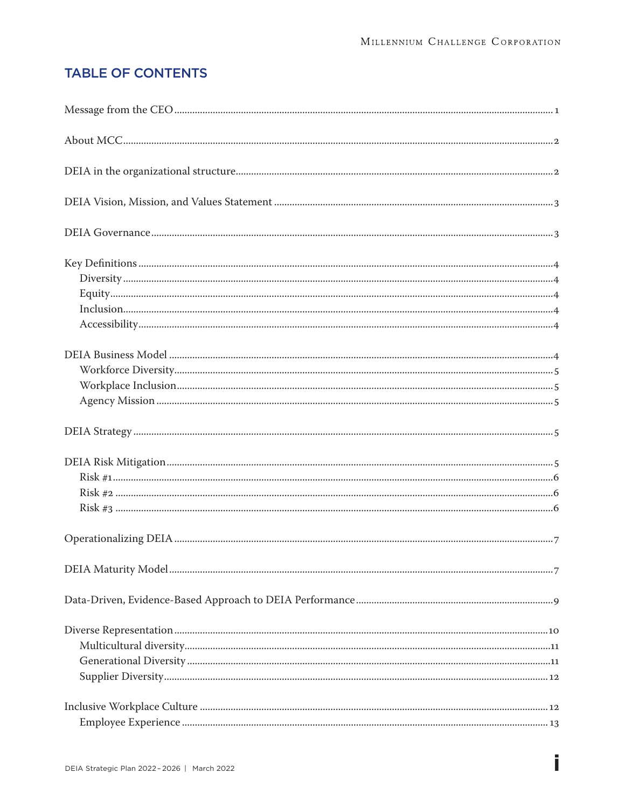# **TABLE OF CONTENTS**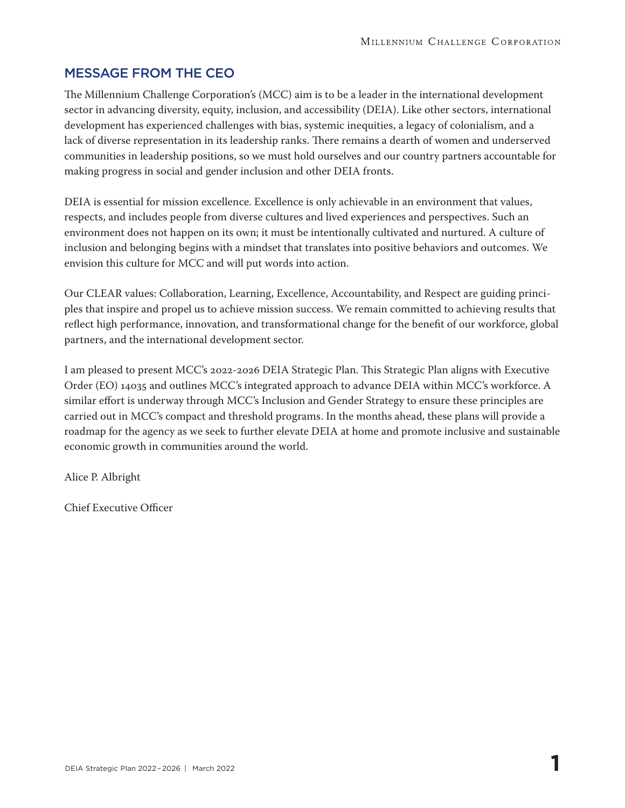# <span id="page-4-0"></span>MESSAGE FROM THE CEO

The Millennium Challenge Corporation's (MCC) aim is to be a leader in the international development sector in advancing diversity, equity, inclusion, and accessibility (DEIA). Like other sectors, international development has experienced challenges with bias, systemic inequities, a legacy of colonialism, and a lack of diverse representation in its leadership ranks. There remains a dearth of women and underserved communities in leadership positions, so we must hold ourselves and our country partners accountable for making progress in social and gender inclusion and other DEIA fronts.

DEIA is essential for mission excellence. Excellence is only achievable in an environment that values, respects, and includes people from diverse cultures and lived experiences and perspectives. Such an environment does not happen on its own; it must be intentionally cultivated and nurtured. A culture of inclusion and belonging begins with a mindset that translates into positive behaviors and outcomes. We envision this culture for MCC and will put words into action.

Our CLEAR values: Collaboration, Learning, Excellence, Accountability, and Respect are guiding principles that inspire and propel us to achieve mission success. We remain committed to achieving results that reflect high performance, innovation, and transformational change for the benefit of our workforce, global partners, and the international development sector.

I am pleased to present MCC's 2022-2026 DEIA Strategic Plan. This Strategic Plan aligns with Executive Order (EO) 14035 and outlines MCC's integrated approach to advance DEIA within MCC's workforce. A similar effort is underway through MCC's Inclusion and Gender Strategy to ensure these principles are carried out in MCC's compact and threshold programs. In the months ahead, these plans will provide a roadmap for the agency as we seek to further elevate DEIA at home and promote inclusive and sustainable economic growth in communities around the world.

Alice P. Albright

Chief Executive Officer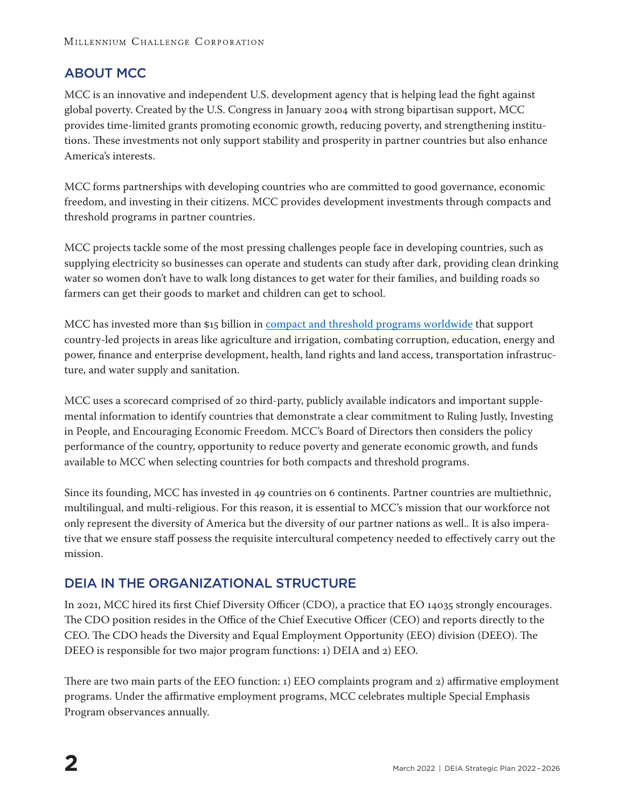# <span id="page-5-0"></span>ABOUT MCC

MCC is an innovative and independent U.S. development agency that is helping lead the fight against global poverty. Created by the U.S. Congress in January 2004 with strong bipartisan support, MCC provides time-limited grants promoting economic growth, reducing poverty, and strengthening institutions. These investments not only support stability and prosperity in partner countries but also enhance America's interests.

MCC forms partnerships with developing countries who are committed to good governance, economic freedom, and investing in their citizens. MCC provides development investments through compacts and threshold programs in partner countries.

MCC projects tackle some of the most pressing challenges people face in developing countries, such as supplying electricity so businesses can operate and students can study after dark, providing clean drinking water so women don't have to walk long distances to get water for their families, and building roads so farmers can get their goods to market and children can get to school.

MCC has invested more than \$15 billion in [compact and threshold programs worldwide](http://www.mcc.gov/where-we-work) that support country-led projects in areas like agriculture and irrigation, combating corruption, education, energy and power, finance and enterprise development, health, land rights and land access, transportation infrastructure, and water supply and sanitation.

MCC uses a scorecard comprised of 20 third-party, publicly available indicators and important supplemental information to identify countries that demonstrate a clear commitment to Ruling Justly, Investing in People, and Encouraging Economic Freedom. MCC's Board of Directors then considers the policy performance of the country, opportunity to reduce poverty and generate economic growth, and funds available to MCC when selecting countries for both compacts and threshold programs.

Since its founding, MCC has invested in 49 countries on 6 continents. Partner countries are multiethnic, multilingual, and multi-religious. For this reason, it is essential to MCC's mission that our workforce not only represent the diversity of America but the diversity of our partner nations as well.. It is also imperative that we ensure staff possess the requisite intercultural competency needed to effectively carry out the mission.

# DEIA IN THE ORGANIZATIONAL STRUCTURE

In 2021, MCC hired its first Chief Diversity Officer (CDO), a practice that EO 14035 strongly encourages. The CDO position resides in the Office of the Chief Executive Officer (CEO) and reports directly to the CEO. The CDO heads the Diversity and Equal Employment Opportunity (EEO) division (DEEO). The DEEO is responsible for two major program functions: 1) DEIA and 2) EEO.

There are two main parts of the EEO function: 1) EEO complaints program and 2) affirmative employment programs. Under the affirmative employment programs, MCC celebrates multiple Special Emphasis Program observances annually.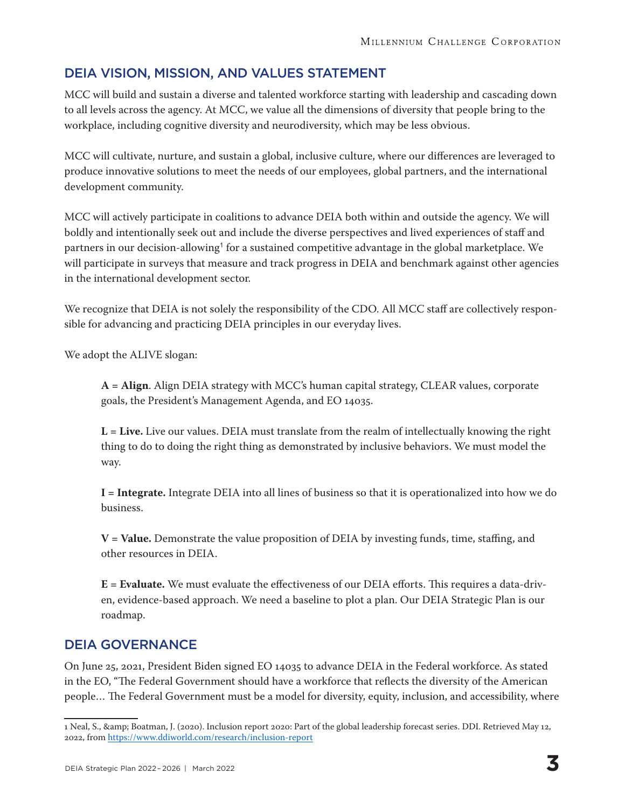# <span id="page-6-0"></span>DEIA VISION, MISSION, AND VALUES STATEMENT

MCC will build and sustain a diverse and talented workforce starting with leadership and cascading down to all levels across the agency. At MCC, we value all the dimensions of diversity that people bring to the workplace, including cognitive diversity and neurodiversity, which may be less obvious.

MCC will cultivate, nurture, and sustain a global, inclusive culture, where our differences are leveraged to produce innovative solutions to meet the needs of our employees, global partners, and the international development community.

MCC will actively participate in coalitions to advance DEIA both within and outside the agency. We will boldly and intentionally seek out and include the diverse perspectives and lived experiences of staff and partners in our decision-allowing $^{\rm 1}$  for a sustained competitive advantage in the global marketplace. We will participate in surveys that measure and track progress in DEIA and benchmark against other agencies in the international development sector.

We recognize that DEIA is not solely the responsibility of the CDO. All MCC staff are collectively responsible for advancing and practicing DEIA principles in our everyday lives.

We adopt the ALIVE slogan:

**A = Align**. Align DEIA strategy with MCC's human capital strategy, CLEAR values, corporate goals, the President's Management Agenda, and EO 14035.

**L = Live.** Live our values. DEIA must translate from the realm of intellectually knowing the right thing to do to doing the right thing as demonstrated by inclusive behaviors. We must model the way.

**I = Integrate.** Integrate DEIA into all lines of business so that it is operationalized into how we do business.

**V = Value.** Demonstrate the value proposition of DEIA by investing funds, time, staffing, and other resources in DEIA.

**E = Evaluate.** We must evaluate the effectiveness of our DEIA efforts. This requires a data-driven, evidence-based approach. We need a baseline to plot a plan. Our DEIA Strategic Plan is our roadmap.

# DEIA GOVERNANCE

On June 25, 2021, President Biden signed EO 14035 to advance DEIA in the Federal workforce. As stated in the EO, "The Federal Government should have a workforce that reflects the diversity of the American people… The Federal Government must be a model for diversity, equity, inclusion, and accessibility, where

<sup>1</sup> Neal, S., & amp; Boatman, J. (2020). Inclusion report 2020: Part of the global leadership forecast series. DDI. Retrieved May 12, 2022, from <https://www.ddiworld.com/research/inclusion-report>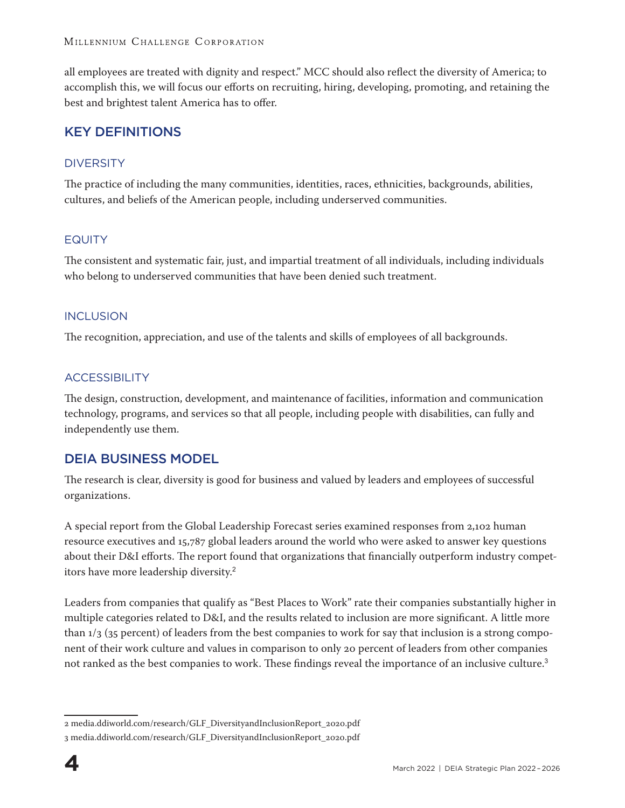<span id="page-7-0"></span>all employees are treated with dignity and respect." MCC should also reflect the diversity of America; to accomplish this, we will focus our efforts on recruiting, hiring, developing, promoting, and retaining the best and brightest talent America has to offer.

# KEY DEFINITIONS

## **DIVERSITY**

The practice of including the many communities, identities, races, ethnicities, backgrounds, abilities, cultures, and beliefs of the American people, including underserved communities.

## **EQUITY**

The consistent and systematic fair, just, and impartial treatment of all individuals, including individuals who belong to underserved communities that have been denied such treatment.

## **INCLUSION**

The recognition, appreciation, and use of the talents and skills of employees of all backgrounds.

## **ACCESSIBILITY**

The design, construction, development, and maintenance of facilities, information and communication technology, programs, and services so that all people, including people with disabilities, can fully and independently use them.

# DEIA BUSINESS MODEL

The research is clear, diversity is good for business and valued by leaders and employees of successful organizations.

A special report from the Global Leadership Forecast series examined responses from 2,102 human resource executives and 15,787 global leaders around the world who were asked to answer key questions about their D&I efforts. The report found that organizations that financially outperform industry competitors have more leadership diversity.<sup>2</sup>

Leaders from companies that qualify as "Best Places to Work" rate their companies substantially higher in multiple categories related to D&I, and the results related to inclusion are more significant. A little more than 1/3 (35 percent) of leaders from the best companies to work for say that inclusion is a strong component of their work culture and values in comparison to only 20 percent of leaders from other companies not ranked as the best companies to work. These findings reveal the importance of an inclusive culture.<sup>3</sup>

<sup>2</sup> media.ddiworld.com/research/GLF\_DiversityandInclusionReport\_2020.pdf

<sup>3</sup> media.ddiworld.com/research/GLF\_DiversityandInclusionReport\_2020.pdf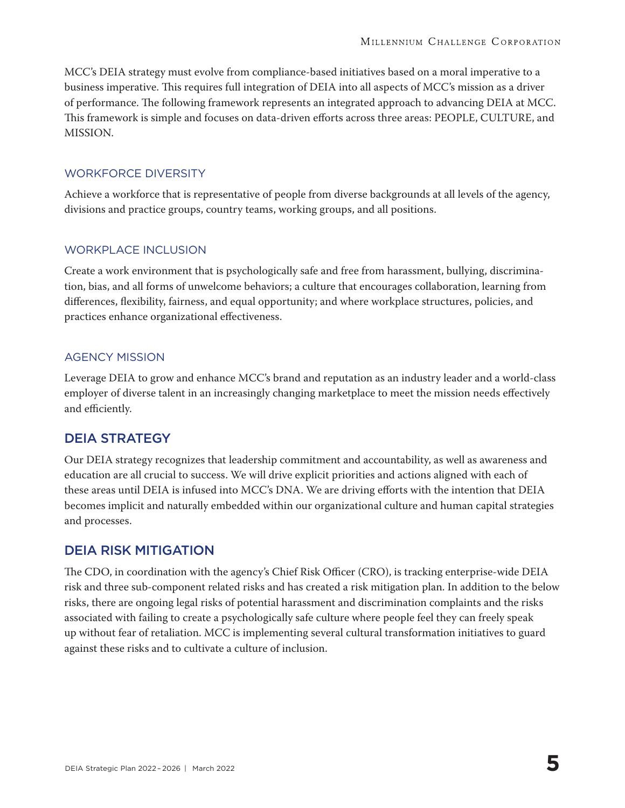<span id="page-8-0"></span>MCC's DEIA strategy must evolve from compliance-based initiatives based on a moral imperative to a business imperative. This requires full integration of DEIA into all aspects of MCC's mission as a driver of performance. The following framework represents an integrated approach to advancing DEIA at MCC. This framework is simple and focuses on data-driven efforts across three areas: PEOPLE, CULTURE, and MISSION.

#### WORKFORCE DIVERSITY

Achieve a workforce that is representative of people from diverse backgrounds at all levels of the agency, divisions and practice groups, country teams, working groups, and all positions.

#### WORKPLACE INCLUSION

Create a work environment that is psychologically safe and free from harassment, bullying, discrimination, bias, and all forms of unwelcome behaviors; a culture that encourages collaboration, learning from differences, flexibility, fairness, and equal opportunity; and where workplace structures, policies, and practices enhance organizational effectiveness.

#### AGENCY MISSION

Leverage DEIA to grow and enhance MCC's brand and reputation as an industry leader and a world-class employer of diverse talent in an increasingly changing marketplace to meet the mission needs effectively and efficiently.

## DEIA STRATEGY

Our DEIA strategy recognizes that leadership commitment and accountability, as well as awareness and education are all crucial to success. We will drive explicit priorities and actions aligned with each of these areas until DEIA is infused into MCC's DNA. We are driving efforts with the intention that DEIA becomes implicit and naturally embedded within our organizational culture and human capital strategies and processes.

## DEIA RISK MITIGATION

The CDO, in coordination with the agency's Chief Risk Officer (CRO), is tracking enterprise-wide DEIA risk and three sub-component related risks and has created a risk mitigation plan. In addition to the below risks, there are ongoing legal risks of potential harassment and discrimination complaints and the risks associated with failing to create a psychologically safe culture where people feel they can freely speak up without fear of retaliation. MCC is implementing several cultural transformation initiatives to guard against these risks and to cultivate a culture of inclusion.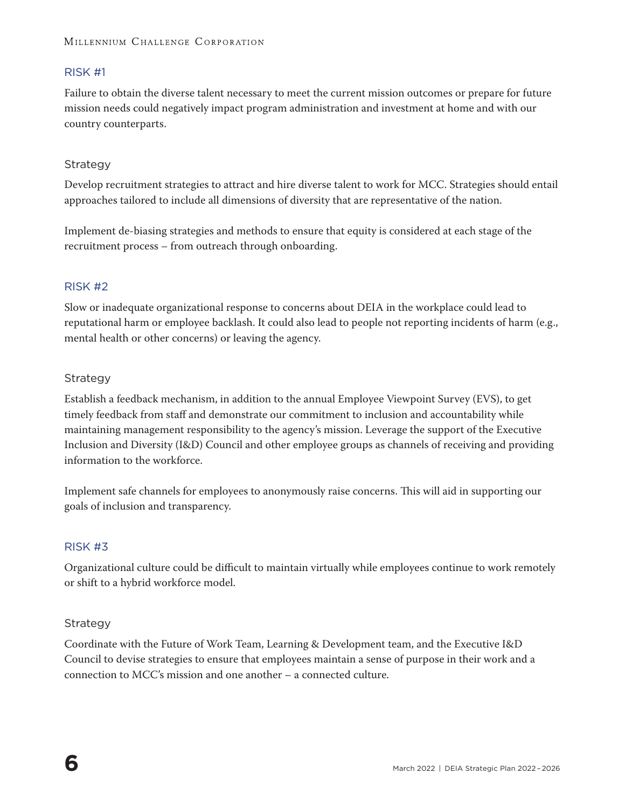## <span id="page-9-0"></span>RISK #1

Failure to obtain the diverse talent necessary to meet the current mission outcomes or prepare for future mission needs could negatively impact program administration and investment at home and with our country counterparts.

#### **Strategy**

Develop recruitment strategies to attract and hire diverse talent to work for MCC. Strategies should entail approaches tailored to include all dimensions of diversity that are representative of the nation.

Implement de-biasing strategies and methods to ensure that equity is considered at each stage of the recruitment process – from outreach through onboarding.

#### RISK #2

Slow or inadequate organizational response to concerns about DEIA in the workplace could lead to reputational harm or employee backlash. It could also lead to people not reporting incidents of harm (e.g., mental health or other concerns) or leaving the agency.

#### Strategy

Establish a feedback mechanism, in addition to the annual Employee Viewpoint Survey (EVS), to get timely feedback from staff and demonstrate our commitment to inclusion and accountability while maintaining management responsibility to the agency's mission. Leverage the support of the Executive Inclusion and Diversity (I&D) Council and other employee groups as channels of receiving and providing information to the workforce.

Implement safe channels for employees to anonymously raise concerns. This will aid in supporting our goals of inclusion and transparency.

#### RISK #3

Organizational culture could be difficult to maintain virtually while employees continue to work remotely or shift to a hybrid workforce model.

#### Strategy

Coordinate with the Future of Work Team, Learning & Development team, and the Executive I&D Council to devise strategies to ensure that employees maintain a sense of purpose in their work and a connection to MCC's mission and one another – a connected culture.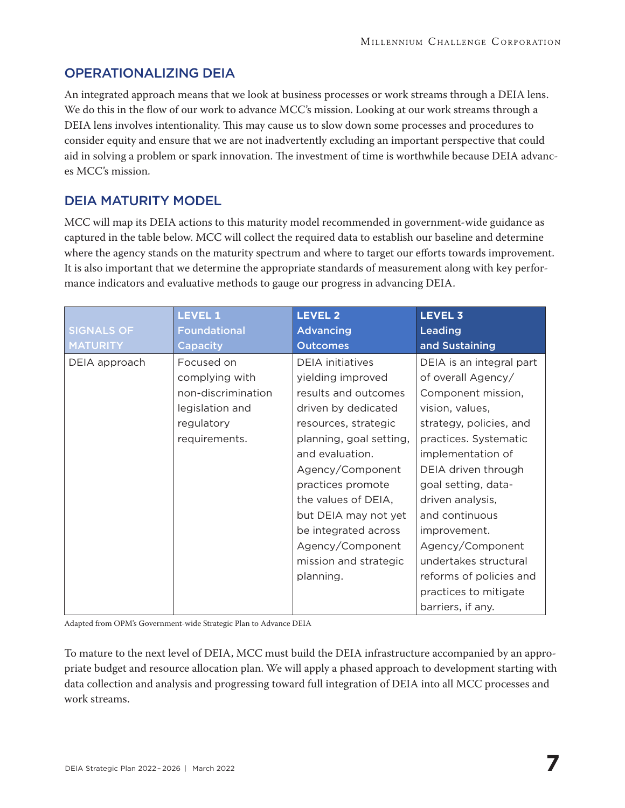# <span id="page-10-0"></span>OPERATIONALIZING DEIA

An integrated approach means that we look at business processes or work streams through a DEIA lens. We do this in the flow of our work to advance MCC's mission. Looking at our work streams through a DEIA lens involves intentionality. This may cause us to slow down some processes and procedures to consider equity and ensure that we are not inadvertently excluding an important perspective that could aid in solving a problem or spark innovation. The investment of time is worthwhile because DEIA advances MCC's mission.

# DEIA MATURITY MODEL

MCC will map its DEIA actions to this maturity model recommended in government-wide guidance as captured in the table below. MCC will collect the required data to establish our baseline and determine where the agency stands on the maturity spectrum and where to target our efforts towards improvement. It is also important that we determine the appropriate standards of measurement along with key performance indicators and evaluative methods to gauge our progress in advancing DEIA.

|                   | <b>LEVEL 1</b>      | <b>LEVEL 2</b>          | LEVEL 3                  |
|-------------------|---------------------|-------------------------|--------------------------|
| <b>SIGNALS OF</b> | <b>Foundational</b> | <b>Advancing</b>        | Leading                  |
| <b>MATURITY</b>   | <b>Capacity</b>     | <b>Outcomes</b>         | and Sustaining           |
| DEIA approach     | Focused on          | <b>DEIA</b> initiatives | DEIA is an integral part |
|                   | complying with      | yielding improved       | of overall Agency/       |
|                   | non-discrimination  | results and outcomes    | Component mission,       |
|                   | legislation and     | driven by dedicated     | vision, values,          |
|                   | regulatory          | resources, strategic    | strategy, policies, and  |
|                   | requirements.       | planning, goal setting, | practices. Systematic    |
|                   |                     | and evaluation.         | implementation of        |
|                   |                     | Agency/Component        | DEIA driven through      |
|                   |                     | practices promote       | goal setting, data-      |
|                   |                     | the values of DEIA,     | driven analysis,         |
|                   |                     | but DEIA may not yet    | and continuous           |
|                   |                     | be integrated across    | improvement.             |
|                   |                     | Agency/Component        | Agency/Component         |
|                   |                     | mission and strategic   | undertakes structural    |
|                   |                     | planning.               | reforms of policies and  |
|                   |                     |                         | practices to mitigate    |
|                   |                     |                         | barriers, if any.        |

Adapted from OPM's Government-wide Strategic Plan to Advance DEIA

To mature to the next level of DEIA, MCC must build the DEIA infrastructure accompanied by an appropriate budget and resource allocation plan. We will apply a phased approach to development starting with data collection and analysis and progressing toward full integration of DEIA into all MCC processes and work streams.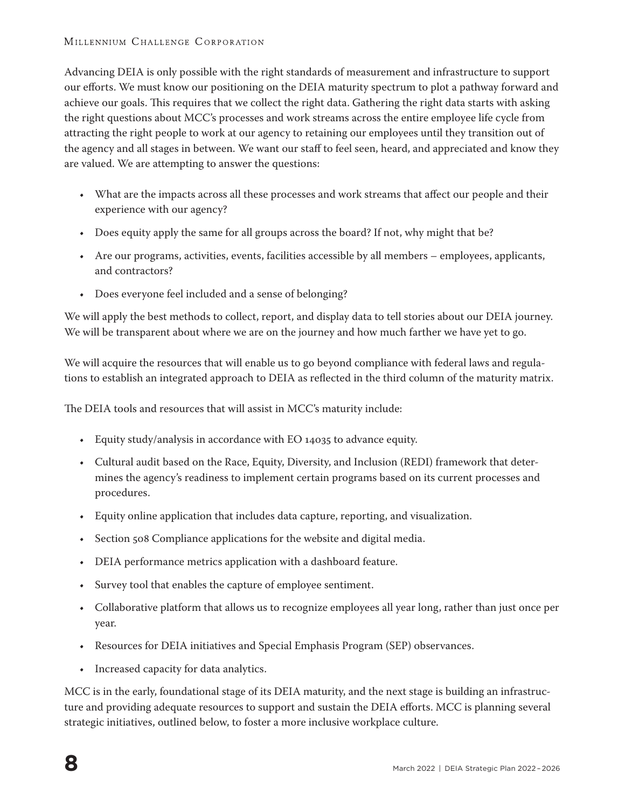#### MILLENNIUM CHALLENGE CORPORATION

Advancing DEIA is only possible with the right standards of measurement and infrastructure to support our efforts. We must know our positioning on the DEIA maturity spectrum to plot a pathway forward and achieve our goals. This requires that we collect the right data. Gathering the right data starts with asking the right questions about MCC's processes and work streams across the entire employee life cycle from attracting the right people to work at our agency to retaining our employees until they transition out of the agency and all stages in between. We want our staff to feel seen, heard, and appreciated and know they are valued. We are attempting to answer the questions:

- What are the impacts across all these processes and work streams that affect our people and their experience with our agency?
- Does equity apply the same for all groups across the board? If not, why might that be?
- Are our programs, activities, events, facilities accessible by all members employees, applicants, and contractors?
- Does everyone feel included and a sense of belonging?

We will apply the best methods to collect, report, and display data to tell stories about our DEIA journey. We will be transparent about where we are on the journey and how much farther we have yet to go.

We will acquire the resources that will enable us to go beyond compliance with federal laws and regulations to establish an integrated approach to DEIA as reflected in the third column of the maturity matrix.

The DEIA tools and resources that will assist in MCC's maturity include:

- Equity study/analysis in accordance with EO 14035 to advance equity.
- Cultural audit based on the Race, Equity, Diversity, and Inclusion (REDI) framework that determines the agency's readiness to implement certain programs based on its current processes and procedures.
- Equity online application that includes data capture, reporting, and visualization.
- Section 508 Compliance applications for the website and digital media.
- DEIA performance metrics application with a dashboard feature.
- Survey tool that enables the capture of employee sentiment.
- Collaborative platform that allows us to recognize employees all year long, rather than just once per year.
- Resources for DEIA initiatives and Special Emphasis Program (SEP) observances.
- Increased capacity for data analytics.

MCC is in the early, foundational stage of its DEIA maturity, and the next stage is building an infrastructure and providing adequate resources to support and sustain the DEIA efforts. MCC is planning several strategic initiatives, outlined below, to foster a more inclusive workplace culture.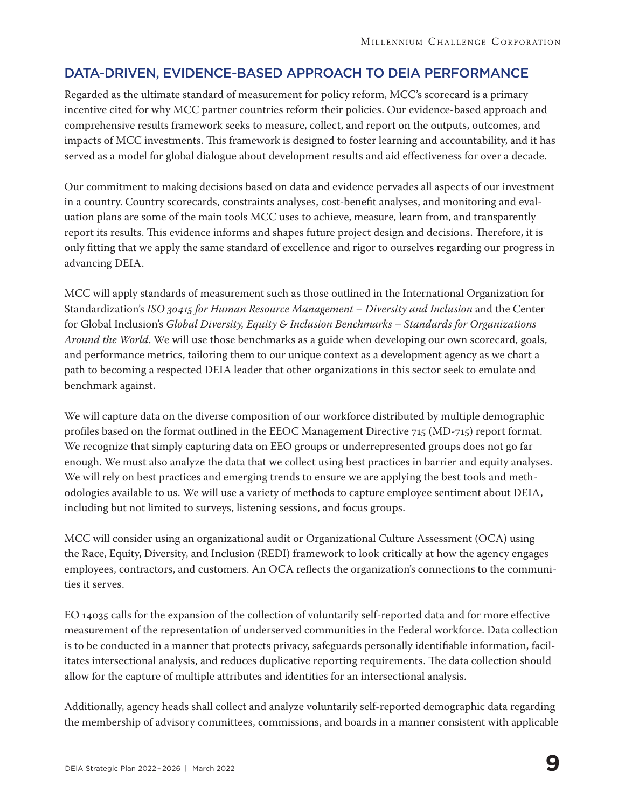# <span id="page-12-0"></span>DATA-DRIVEN, EVIDENCE-BASED APPROACH TO DEIA PERFORMANCE

Regarded as the ultimate standard of measurement for policy reform, MCC's scorecard is a primary incentive cited for why MCC partner countries reform their policies. Our evidence-based approach and comprehensive results framework seeks to measure, collect, and report on the outputs, outcomes, and impacts of MCC investments. This framework is designed to foster learning and accountability, and it has served as a model for global dialogue about development results and aid effectiveness for over a decade.

Our commitment to making decisions based on data and evidence pervades all aspects of our investment in a country. Country scorecards, constraints analyses, cost-benefit analyses, and monitoring and evaluation plans are some of the main tools MCC uses to achieve, measure, learn from, and transparently report its results. This evidence informs and shapes future project design and decisions. Therefore, it is only fitting that we apply the same standard of excellence and rigor to ourselves regarding our progress in advancing DEIA.

MCC will apply standards of measurement such as those outlined in the International Organization for Standardization's *ISO 30415 for Human Resource Management – Diversity and Inclusion* and the Center for Global Inclusion's *Global Diversity, Equity & Inclusion Benchmarks – Standards for Organizations Around the World*. We will use those benchmarks as a guide when developing our own scorecard, goals, and performance metrics, tailoring them to our unique context as a development agency as we chart a path to becoming a respected DEIA leader that other organizations in this sector seek to emulate and benchmark against.

We will capture data on the diverse composition of our workforce distributed by multiple demographic profiles based on the format outlined in the EEOC Management Directive 715 (MD-715) report format. We recognize that simply capturing data on EEO groups or underrepresented groups does not go far enough. We must also analyze the data that we collect using best practices in barrier and equity analyses. We will rely on best practices and emerging trends to ensure we are applying the best tools and methodologies available to us. We will use a variety of methods to capture employee sentiment about DEIA, including but not limited to surveys, listening sessions, and focus groups.

MCC will consider using an organizational audit or Organizational Culture Assessment (OCA) using the Race, Equity, Diversity, and Inclusion (REDI) framework to look critically at how the agency engages employees, contractors, and customers. An OCA reflects the organization's connections to the communities it serves.

EO 14035 calls for the expansion of the collection of voluntarily self-reported data and for more effective measurement of the representation of underserved communities in the Federal workforce. Data collection is to be conducted in a manner that protects privacy, safeguards personally identifiable information, facilitates intersectional analysis, and reduces duplicative reporting requirements. The data collection should allow for the capture of multiple attributes and identities for an intersectional analysis.

Additionally, agency heads shall collect and analyze voluntarily self-reported demographic data regarding the membership of advisory committees, commissions, and boards in a manner consistent with applicable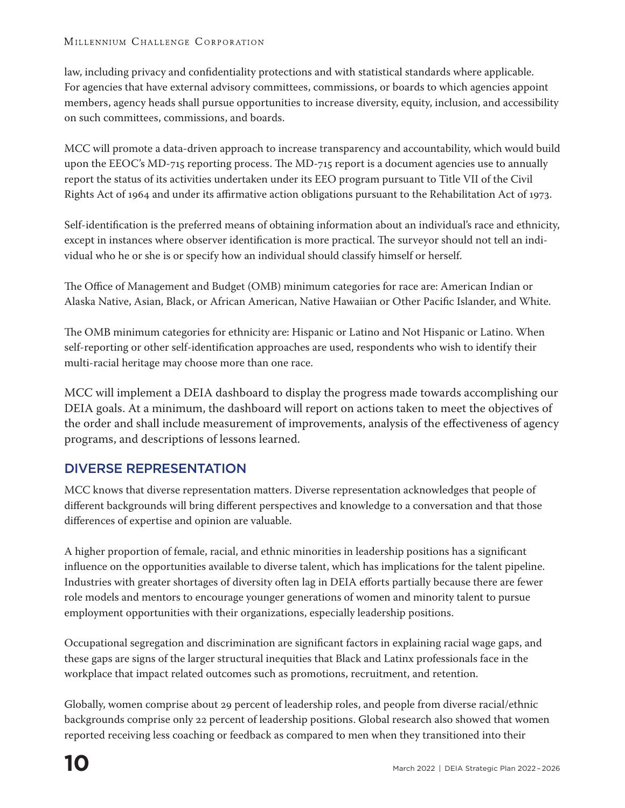#### <span id="page-13-0"></span>MILLENNIUM CHALLENGE CORPORATION

law, including privacy and confidentiality protections and with statistical standards where applicable. For agencies that have external advisory committees, commissions, or boards to which agencies appoint members, agency heads shall pursue opportunities to increase diversity, equity, inclusion, and accessibility on such committees, commissions, and boards.

MCC will promote a data-driven approach to increase transparency and accountability, which would build upon the EEOC's MD-715 reporting process. The MD-715 report is a document agencies use to annually report the status of its activities undertaken under its EEO program pursuant to Title VII of the Civil Rights Act of 1964 and under its affirmative action obligations pursuant to the Rehabilitation Act of 1973.

Self-identification is the preferred means of obtaining information about an individual's race and ethnicity, except in instances where observer identification is more practical. The surveyor should not tell an individual who he or she is or specify how an individual should classify himself or herself.

The Office of Management and Budget (OMB) minimum categories for race are: American Indian or Alaska Native, Asian, Black, or African American, Native Hawaiian or Other Pacific Islander, and White.

The OMB minimum categories for ethnicity are: Hispanic or Latino and Not Hispanic or Latino. When self-reporting or other self-identification approaches are used, respondents who wish to identify their multi-racial heritage may choose more than one race.

MCC will implement a DEIA dashboard to display the progress made towards accomplishing our DEIA goals. At a minimum, the dashboard will report on actions taken to meet the objectives of the order and shall include measurement of improvements, analysis of the effectiveness of agency programs, and descriptions of lessons learned.

# DIVERSE REPRESENTATION

MCC knows that diverse representation matters. Diverse representation acknowledges that people of different backgrounds will bring different perspectives and knowledge to a conversation and that those differences of expertise and opinion are valuable.

A higher proportion of female, racial, and ethnic minorities in leadership positions has a significant influence on the opportunities available to diverse talent, which has implications for the talent pipeline. Industries with greater shortages of diversity often lag in DEIA efforts partially because there are fewer role models and mentors to encourage younger generations of women and minority talent to pursue employment opportunities with their organizations, especially leadership positions.

Occupational segregation and discrimination are significant factors in explaining racial wage gaps, and these gaps are signs of the larger structural inequities that Black and Latinx professionals face in the workplace that impact related outcomes such as promotions, recruitment, and retention.

Globally, women comprise about 29 percent of leadership roles, and people from diverse racial/ethnic backgrounds comprise only 22 percent of leadership positions. Global research also showed that women reported receiving less coaching or feedback as compared to men when they transitioned into their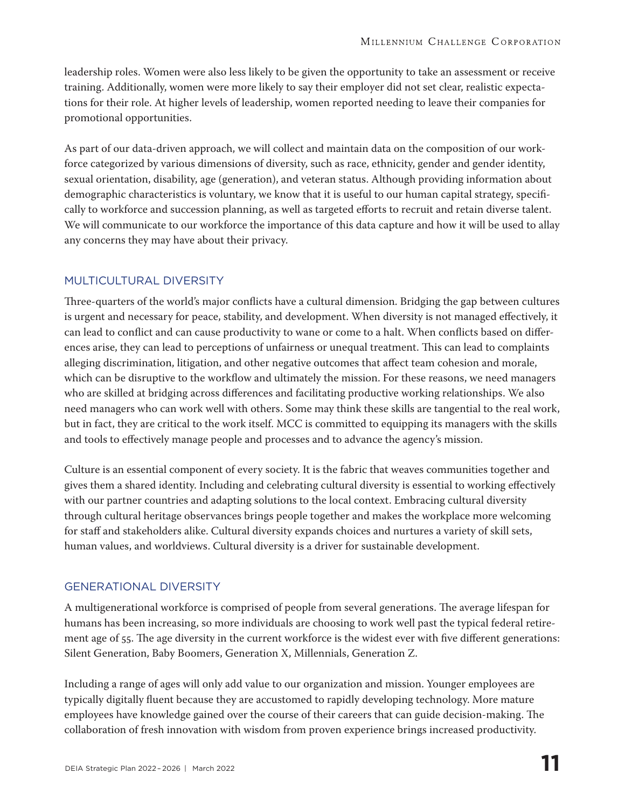<span id="page-14-0"></span>leadership roles. Women were also less likely to be given the opportunity to take an assessment or receive training. Additionally, women were more likely to say their employer did not set clear, realistic expectations for their role. At higher levels of leadership, women reported needing to leave their companies for promotional opportunities.

As part of our data-driven approach, we will collect and maintain data on the composition of our workforce categorized by various dimensions of diversity, such as race, ethnicity, gender and gender identity, sexual orientation, disability, age (generation), and veteran status. Although providing information about demographic characteristics is voluntary, we know that it is useful to our human capital strategy, specifically to workforce and succession planning, as well as targeted efforts to recruit and retain diverse talent. We will communicate to our workforce the importance of this data capture and how it will be used to allay any concerns they may have about their privacy.

#### MULTICULTURAL DIVERSITY

Three-quarters of the world's major conflicts have a cultural dimension. Bridging the gap between cultures is urgent and necessary for peace, stability, and development. When diversity is not managed effectively, it can lead to conflict and can cause productivity to wane or come to a halt. When conflicts based on differences arise, they can lead to perceptions of unfairness or unequal treatment. This can lead to complaints alleging discrimination, litigation, and other negative outcomes that affect team cohesion and morale, which can be disruptive to the workflow and ultimately the mission. For these reasons, we need managers who are skilled at bridging across differences and facilitating productive working relationships. We also need managers who can work well with others. Some may think these skills are tangential to the real work, but in fact, they are critical to the work itself. MCC is committed to equipping its managers with the skills and tools to effectively manage people and processes and to advance the agency's mission.

Culture is an essential component of every society. It is the fabric that weaves communities together and gives them a shared identity. Including and celebrating cultural diversity is essential to working effectively with our partner countries and adapting solutions to the local context. Embracing cultural diversity through cultural heritage observances brings people together and makes the workplace more welcoming for staff and stakeholders alike. Cultural diversity expands choices and nurtures a variety of skill sets, human values, and worldviews. Cultural diversity is a driver for sustainable development.

#### GENERATIONAL DIVERSITY

A multigenerational workforce is comprised of people from several generations. The average lifespan for humans has been increasing, so more individuals are choosing to work well past the typical federal retirement age of 55. The age diversity in the current workforce is the widest ever with five different generations: Silent Generation, Baby Boomers, Generation X, Millennials, Generation Z.

Including a range of ages will only add value to our organization and mission. Younger employees are typically digitally fluent because they are accustomed to rapidly developing technology. More mature employees have knowledge gained over the course of their careers that can guide decision-making. The collaboration of fresh innovation with wisdom from proven experience brings increased productivity.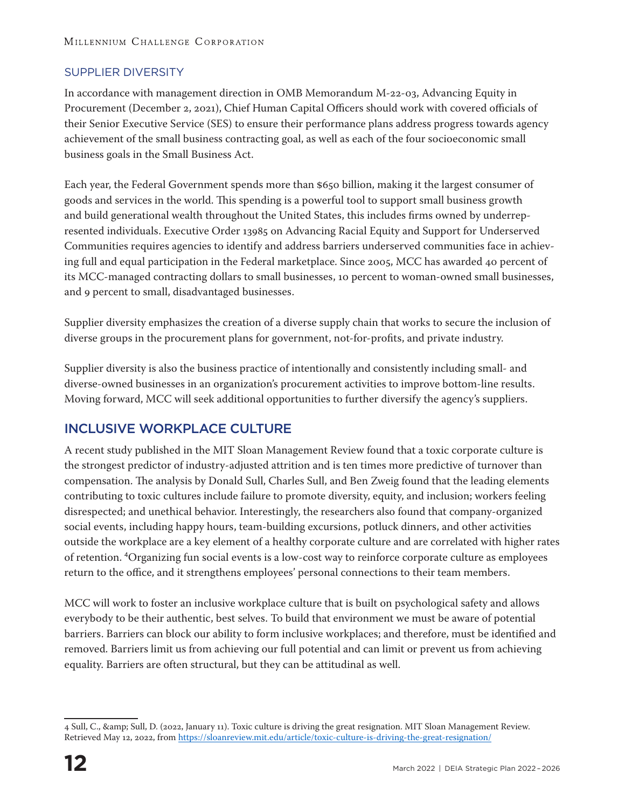# <span id="page-15-0"></span>SUPPLIER DIVERSITY

In accordance with management direction in OMB Memorandum M-22-03, Advancing Equity in Procurement (December 2, 2021), Chief Human Capital Officers should work with covered officials of their Senior Executive Service (SES) to ensure their performance plans address progress towards agency achievement of the small business contracting goal, as well as each of the four socioeconomic small business goals in the Small Business Act.

Each year, the Federal Government spends more than \$650 billion, making it the largest consumer of goods and services in the world. This spending is a powerful tool to support small business growth and build generational wealth throughout the United States, this includes firms owned by underrepresented individuals. Executive Order 13985 on Advancing Racial Equity and Support for Underserved Communities requires agencies to identify and address barriers underserved communities face in achieving full and equal participation in the Federal marketplace. Since 2005, MCC has awarded 40 percent of its MCC-managed contracting dollars to small businesses, 10 percent to woman-owned small businesses, and 9 percent to small, disadvantaged businesses.

Supplier diversity emphasizes the creation of a diverse supply chain that works to secure the inclusion of diverse groups in the procurement plans for government, not-for-profits, and private industry.

Supplier diversity is also the business practice of intentionally and consistently including small- and diverse-owned businesses in an organization's procurement activities to improve bottom-line results. Moving forward, MCC will seek additional opportunities to further diversify the agency's suppliers.

# INCLUSIVE WORKPLACE CULTURE

A recent study published in the MIT Sloan Management Review found that a toxic corporate culture is the strongest predictor of industry-adjusted attrition and is ten times more predictive of turnover than compensation. The analysis by Donald Sull, Charles Sull, and Ben Zweig found that the leading elements contributing to toxic cultures include failure to promote diversity, equity, and inclusion; workers feeling disrespected; and unethical behavior. Interestingly, the researchers also found that company-organized social events, including happy hours, team-building excursions, potluck dinners, and other activities outside the workplace are a key element of a healthy corporate culture and are correlated with higher rates of retention. <sup>4</sup> Organizing fun social events is a low-cost way to reinforce corporate culture as employees return to the office, and it strengthens employees' personal connections to their team members.

MCC will work to foster an inclusive workplace culture that is built on psychological safety and allows everybody to be their authentic, best selves. To build that environment we must be aware of potential barriers. Barriers can block our ability to form inclusive workplaces; and therefore, must be identified and removed. Barriers limit us from achieving our full potential and can limit or prevent us from achieving equality. Barriers are often structural, but they can be attitudinal as well.

<sup>4</sup> Sull, C., & amp; Sull, D. (2022, January 11). Toxic culture is driving the great resignation. MIT Sloan Management Review. Retrieved May 12, 2022, from <https://sloanreview.mit.edu/article/toxic-culture-is-driving-the-great-resignation/>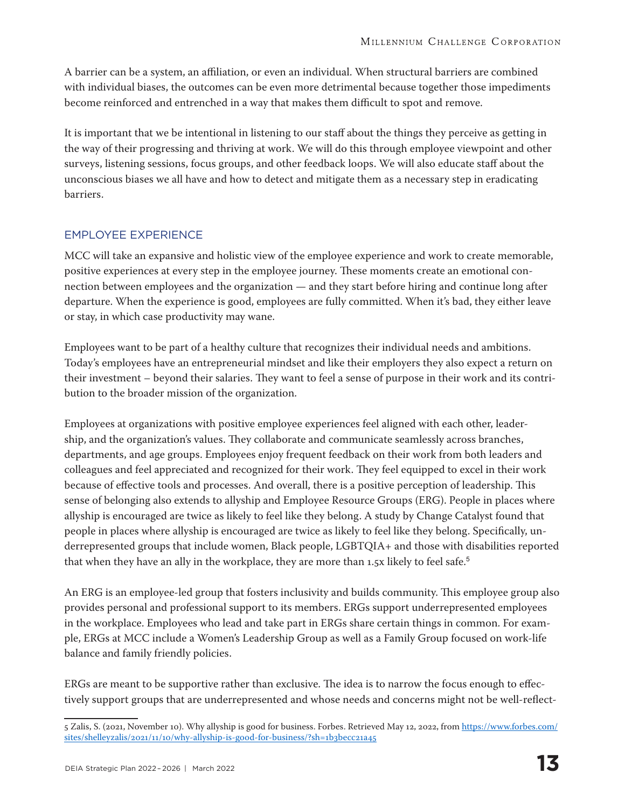<span id="page-16-0"></span>A barrier can be a system, an affiliation, or even an individual. When structural barriers are combined with individual biases, the outcomes can be even more detrimental because together those impediments become reinforced and entrenched in a way that makes them difficult to spot and remove.

It is important that we be intentional in listening to our staff about the things they perceive as getting in the way of their progressing and thriving at work. We will do this through employee viewpoint and other surveys, listening sessions, focus groups, and other feedback loops. We will also educate staff about the unconscious biases we all have and how to detect and mitigate them as a necessary step in eradicating barriers.

## EMPLOYEE EXPERIENCE

MCC will take an expansive and holistic view of the employee experience and work to create memorable, positive experiences at every step in the employee journey. These moments create an emotional connection between employees and the organization — and they start before hiring and continue long after departure. When the experience is good, employees are fully committed. When it's bad, they either leave or stay, in which case productivity may wane.

Employees want to be part of a healthy culture that recognizes their individual needs and ambitions. Today's employees have an entrepreneurial mindset and like their employers they also expect a return on their investment – beyond their salaries. They want to feel a sense of purpose in their work and its contribution to the broader mission of the organization.

Employees at organizations with positive employee experiences feel aligned with each other, leadership, and the organization's values. They collaborate and communicate seamlessly across branches, departments, and age groups. Employees enjoy frequent feedback on their work from both leaders and colleagues and feel appreciated and recognized for their work. They feel equipped to excel in their work because of effective tools and processes. And overall, there is a positive perception of leadership. This sense of belonging also extends to allyship and Employee Resource Groups (ERG). People in places where allyship is encouraged are twice as likely to feel like they belong. A study by Change Catalyst found that people in places where allyship is encouraged are twice as likely to feel like they belong. Specifically, underrepresented groups that include women, Black people, LGBTQIA+ and those with disabilities reported that when they have an ally in the workplace, they are more than 1.5x likely to feel safe.<sup>5</sup>

An ERG is an employee-led group that fosters inclusivity and builds community. This employee group also provides personal and professional support to its members. ERGs support underrepresented employees in the workplace. Employees who lead and take part in ERGs share certain things in common. For example, ERGs at MCC include a Women's Leadership Group as well as a Family Group focused on work-life balance and family friendly policies.

ERGs are meant to be supportive rather than exclusive. The idea is to narrow the focus enough to effectively support groups that are underrepresented and whose needs and concerns might not be well-reflect-

<sup>5</sup> Zalis, S. (2021, November 10). Why allyship is good for business. Forbes. Retrieved May 12, 2022, from [https://www.forbes.com/](https://www.forbes.com/sites/shelleyzalis/2021/11/10/why-allyship-is-good-for-business/?sh=1b3becc21a45) [sites/shelleyzalis/2021/11/10/why-allyship-is-good-for-business/?sh=1b3becc21a45](https://www.forbes.com/sites/shelleyzalis/2021/11/10/why-allyship-is-good-for-business/?sh=1b3becc21a45)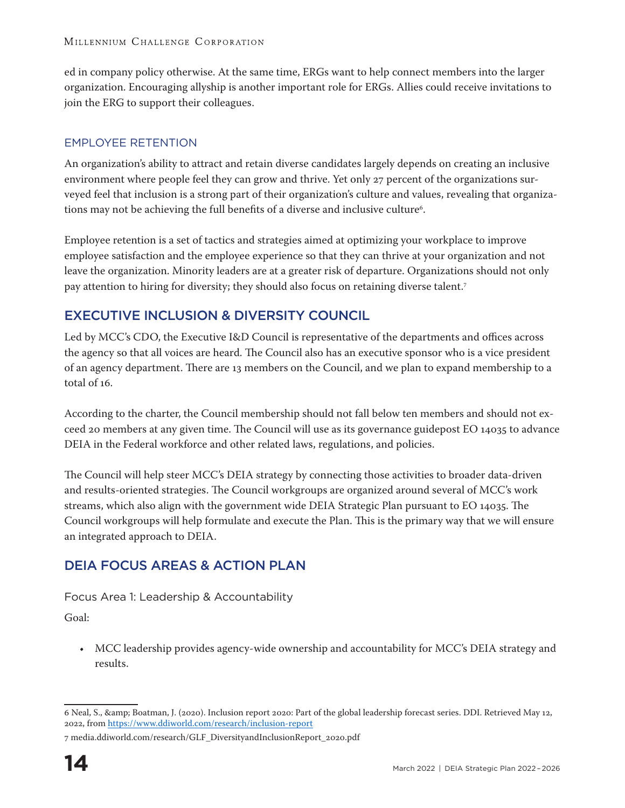<span id="page-17-0"></span>ed in company policy otherwise. At the same time, ERGs want to help connect members into the larger organization. Encouraging allyship is another important role for ERGs. Allies could receive invitations to join the ERG to support their colleagues.

## EMPLOYEE RETENTION

An organization's ability to attract and retain diverse candidates largely depends on creating an inclusive environment where people feel they can grow and thrive. Yet only 27 percent of the organizations surveyed feel that inclusion is a strong part of their organization's culture and values, revealing that organizations may not be achieving the full benefits of a diverse and inclusive culture $^{\rm 6}.$ 

Employee retention is a set of tactics and strategies aimed at optimizing your workplace to improve employee satisfaction and the employee experience so that they can thrive at your organization and not leave the organization. Minority leaders are at a greater risk of departure. Organizations should not only pay attention to hiring for diversity; they should also focus on retaining diverse talent.7

# EXECUTIVE INCLUSION & DIVERSITY COUNCIL

Led by MCC's CDO, the Executive I&D Council is representative of the departments and offices across the agency so that all voices are heard. The Council also has an executive sponsor who is a vice president of an agency department. There are 13 members on the Council, and we plan to expand membership to a total of 16.

According to the charter, the Council membership should not fall below ten members and should not exceed 20 members at any given time. The Council will use as its governance guidepost EO 14035 to advance DEIA in the Federal workforce and other related laws, regulations, and policies.

The Council will help steer MCC's DEIA strategy by connecting those activities to broader data-driven and results-oriented strategies. The Council workgroups are organized around several of MCC's work streams, which also align with the government wide DEIA Strategic Plan pursuant to EO 14035. The Council workgroups will help formulate and execute the Plan. This is the primary way that we will ensure an integrated approach to DEIA.

# DEIA FOCUS AREAS & ACTION PLAN

Focus Area 1: Leadership & Accountability

Goal:

• MCC leadership provides agency-wide ownership and accountability for MCC's DEIA strategy and results.

<sup>6</sup> Neal, S., & Boatman, J. (2020). Inclusion report 2020: Part of the global leadership forecast series. DDI. Retrieved May 12, 2022, from <https://www.ddiworld.com/research/inclusion-report>

<sup>7</sup> media.ddiworld.com/research/GLF\_DiversityandInclusionReport\_2020.pdf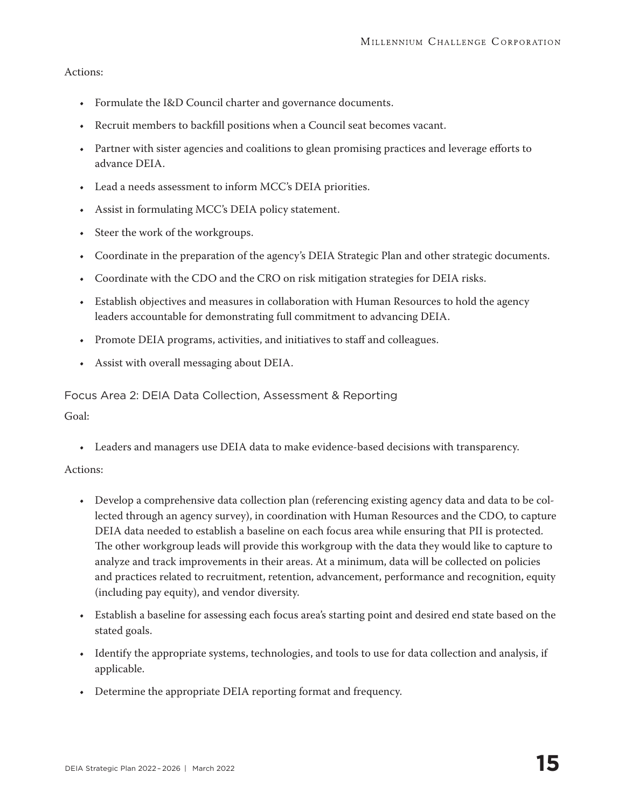#### Actions:

- Formulate the I&D Council charter and governance documents.
- Recruit members to backfill positions when a Council seat becomes vacant.
- Partner with sister agencies and coalitions to glean promising practices and leverage efforts to advance DEIA.
- Lead a needs assessment to inform MCC's DEIA priorities.
- Assist in formulating MCC's DEIA policy statement.
- Steer the work of the workgroups.
- Coordinate in the preparation of the agency's DEIA Strategic Plan and other strategic documents.
- Coordinate with the CDO and the CRO on risk mitigation strategies for DEIA risks.
- Establish objectives and measures in collaboration with Human Resources to hold the agency leaders accountable for demonstrating full commitment to advancing DEIA.
- Promote DEIA programs, activities, and initiatives to staff and colleagues.
- Assist with overall messaging about DEIA.

#### Focus Area 2: DEIA Data Collection, Assessment & Reporting

Goal:

• Leaders and managers use DEIA data to make evidence-based decisions with transparency.

#### Actions:

- Develop a comprehensive data collection plan (referencing existing agency data and data to be collected through an agency survey), in coordination with Human Resources and the CDO, to capture DEIA data needed to establish a baseline on each focus area while ensuring that PII is protected. The other workgroup leads will provide this workgroup with the data they would like to capture to analyze and track improvements in their areas. At a minimum, data will be collected on policies and practices related to recruitment, retention, advancement, performance and recognition, equity (including pay equity), and vendor diversity.
- Establish a baseline for assessing each focus area's starting point and desired end state based on the stated goals.
- Identify the appropriate systems, technologies, and tools to use for data collection and analysis, if applicable.
- Determine the appropriate DEIA reporting format and frequency.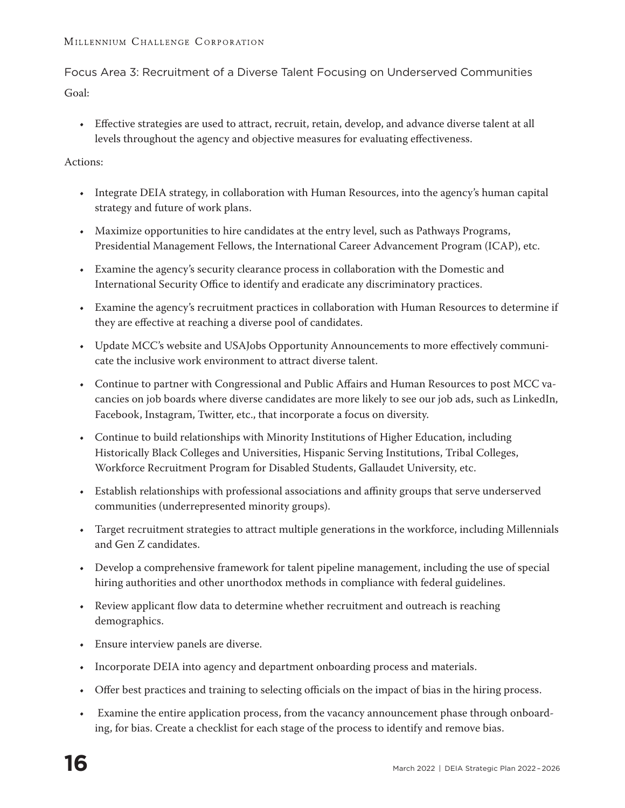# Focus Area 3: Recruitment of a Diverse Talent Focusing on Underserved Communities Goal:

• Effective strategies are used to attract, recruit, retain, develop, and advance diverse talent at all levels throughout the agency and objective measures for evaluating effectiveness.

## Actions:

- Integrate DEIA strategy, in collaboration with Human Resources, into the agency's human capital strategy and future of work plans.
- Maximize opportunities to hire candidates at the entry level, such as Pathways Programs, Presidential Management Fellows, the International Career Advancement Program (ICAP), etc.
- Examine the agency's security clearance process in collaboration with the Domestic and International Security Office to identify and eradicate any discriminatory practices.
- Examine the agency's recruitment practices in collaboration with Human Resources to determine if they are effective at reaching a diverse pool of candidates.
- Update MCC's website and USAJobs Opportunity Announcements to more effectively communicate the inclusive work environment to attract diverse talent.
- Continue to partner with Congressional and Public Affairs and Human Resources to post MCC vacancies on job boards where diverse candidates are more likely to see our job ads, such as LinkedIn, Facebook, Instagram, Twitter, etc., that incorporate a focus on diversity.
- Continue to build relationships with Minority Institutions of Higher Education, including Historically Black Colleges and Universities, Hispanic Serving Institutions, Tribal Colleges, Workforce Recruitment Program for Disabled Students, Gallaudet University, etc.
- Establish relationships with professional associations and affinity groups that serve underserved communities (underrepresented minority groups).
- Target recruitment strategies to attract multiple generations in the workforce, including Millennials and Gen Z candidates.
- Develop a comprehensive framework for talent pipeline management, including the use of special hiring authorities and other unorthodox methods in compliance with federal guidelines.
- Review applicant flow data to determine whether recruitment and outreach is reaching demographics.
- Ensure interview panels are diverse.
- Incorporate DEIA into agency and department onboarding process and materials.
- Offer best practices and training to selecting officials on the impact of bias in the hiring process.
- Examine the entire application process, from the vacancy announcement phase through onboarding, for bias. Create a checklist for each stage of the process to identify and remove bias.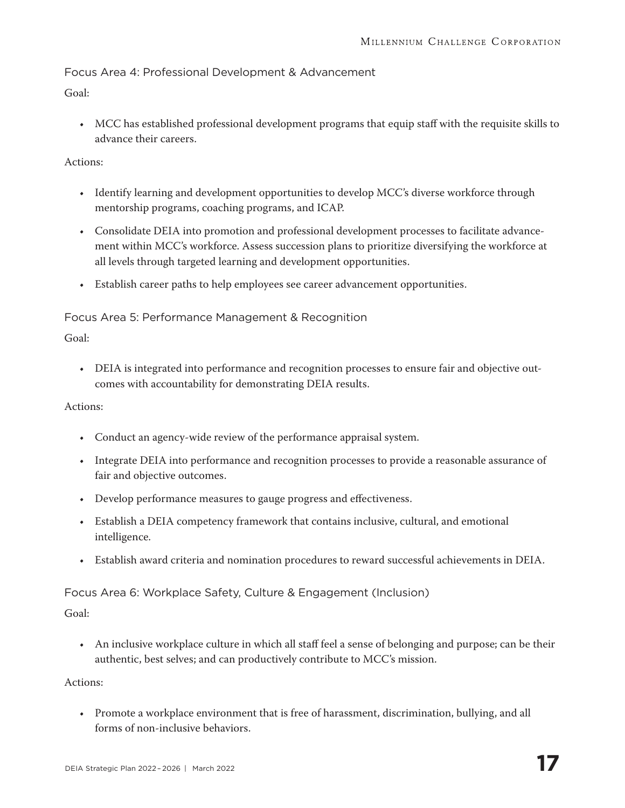#### Focus Area 4: Professional Development & Advancement

Goal:

• MCC has established professional development programs that equip staff with the requisite skills to advance their careers.

#### Actions:

- Identify learning and development opportunities to develop MCC's diverse workforce through mentorship programs, coaching programs, and ICAP.
- Consolidate DEIA into promotion and professional development processes to facilitate advancement within MCC's workforce. Assess succession plans to prioritize diversifying the workforce at all levels through targeted learning and development opportunities.
- Establish career paths to help employees see career advancement opportunities.

#### Focus Area 5: Performance Management & Recognition

Goal:

• DEIA is integrated into performance and recognition processes to ensure fair and objective outcomes with accountability for demonstrating DEIA results.

Actions:

- Conduct an agency-wide review of the performance appraisal system.
- Integrate DEIA into performance and recognition processes to provide a reasonable assurance of fair and objective outcomes.
- Develop performance measures to gauge progress and effectiveness.
- Establish a DEIA competency framework that contains inclusive, cultural, and emotional intelligence.
- Establish award criteria and nomination procedures to reward successful achievements in DEIA.

## Focus Area 6: Workplace Safety, Culture & Engagement (Inclusion)

Goal:

• An inclusive workplace culture in which all staff feel a sense of belonging and purpose; can be their authentic, best selves; and can productively contribute to MCC's mission.

Actions:

• Promote a workplace environment that is free of harassment, discrimination, bullying, and all forms of non-inclusive behaviors.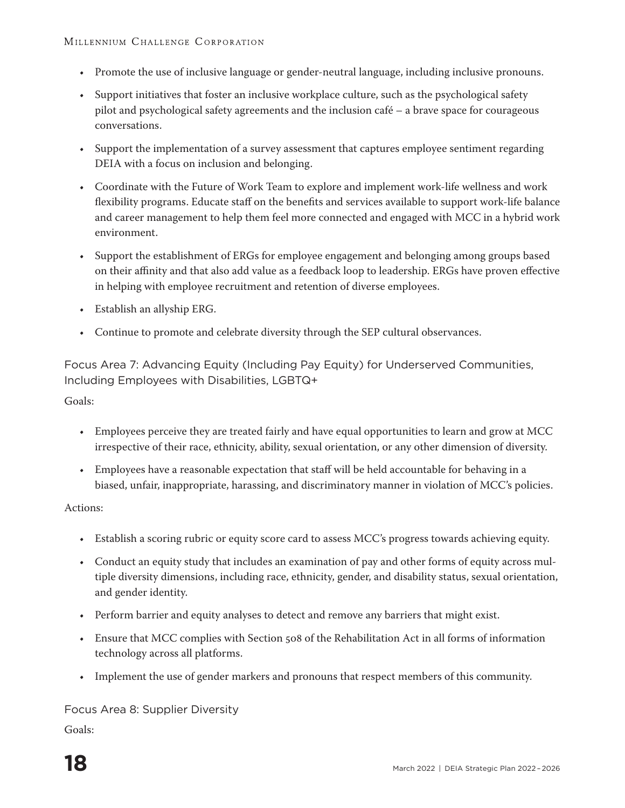- Promote the use of inclusive language or gender-neutral language, including inclusive pronouns.
- Support initiatives that foster an inclusive workplace culture, such as the psychological safety pilot and psychological safety agreements and the inclusion café – a brave space for courageous conversations.
- Support the implementation of a survey assessment that captures employee sentiment regarding DEIA with a focus on inclusion and belonging.
- Coordinate with the Future of Work Team to explore and implement work-life wellness and work flexibility programs. Educate staff on the benefits and services available to support work-life balance and career management to help them feel more connected and engaged with MCC in a hybrid work environment.
- Support the establishment of ERGs for employee engagement and belonging among groups based on their affinity and that also add value as a feedback loop to leadership. ERGs have proven effective in helping with employee recruitment and retention of diverse employees.
- Establish an allyship ERG.
- Continue to promote and celebrate diversity through the SEP cultural observances.

Focus Area 7: Advancing Equity (Including Pay Equity) for Underserved Communities, Including Employees with Disabilities, LGBTQ+

Goals:

- Employees perceive they are treated fairly and have equal opportunities to learn and grow at MCC irrespective of their race, ethnicity, ability, sexual orientation, or any other dimension of diversity.
- Employees have a reasonable expectation that staff will be held accountable for behaving in a biased, unfair, inappropriate, harassing, and discriminatory manner in violation of MCC's policies.

Actions:

- Establish a scoring rubric or equity score card to assess MCC's progress towards achieving equity.
- Conduct an equity study that includes an examination of pay and other forms of equity across multiple diversity dimensions, including race, ethnicity, gender, and disability status, sexual orientation, and gender identity.
- Perform barrier and equity analyses to detect and remove any barriers that might exist.
- Ensure that MCC complies with Section 508 of the Rehabilitation Act in all forms of information technology across all platforms.
- Implement the use of gender markers and pronouns that respect members of this community.

Focus Area 8: Supplier Diversity Goals: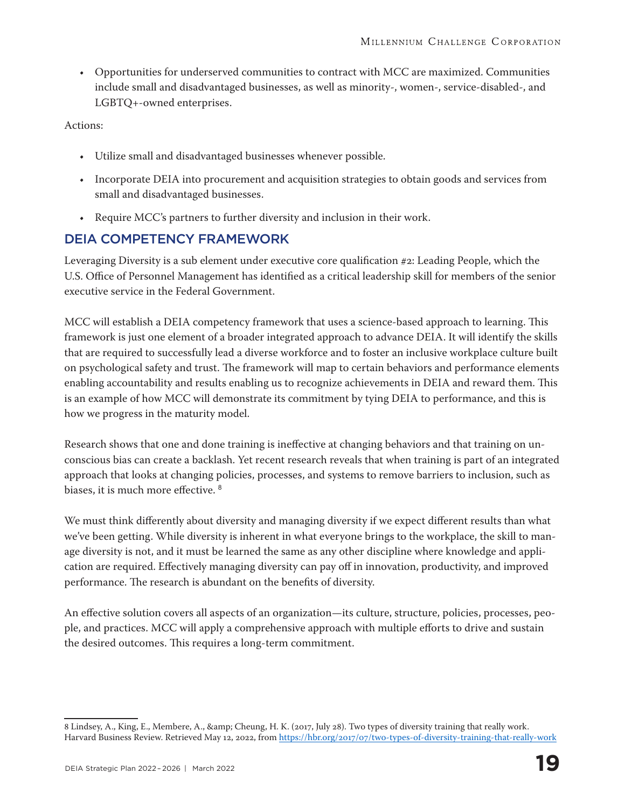<span id="page-22-0"></span>• Opportunities for underserved communities to contract with MCC are maximized. Communities include small and disadvantaged businesses, as well as minority-, women-, service-disabled-, and LGBTQ+-owned enterprises.

Actions:

- Utilize small and disadvantaged businesses whenever possible.
- Incorporate DEIA into procurement and acquisition strategies to obtain goods and services from small and disadvantaged businesses.
- Require MCC's partners to further diversity and inclusion in their work.

## DEIA COMPETENCY FRAMEWORK

Leveraging Diversity is a sub element under executive core qualification #2: Leading People, which the U.S. Office of Personnel Management has identified as a critical leadership skill for members of the senior executive service in the Federal Government.

MCC will establish a DEIA competency framework that uses a science-based approach to learning. This framework is just one element of a broader integrated approach to advance DEIA. It will identify the skills that are required to successfully lead a diverse workforce and to foster an inclusive workplace culture built on psychological safety and trust. The framework will map to certain behaviors and performance elements enabling accountability and results enabling us to recognize achievements in DEIA and reward them. This is an example of how MCC will demonstrate its commitment by tying DEIA to performance, and this is how we progress in the maturity model.

Research shows that one and done training is ineffective at changing behaviors and that training on unconscious bias can create a backlash. Yet recent research reveals that when training is part of an integrated approach that looks at changing policies, processes, and systems to remove barriers to inclusion, such as biases, it is much more effective. <sup>8</sup>

We must think differently about diversity and managing diversity if we expect different results than what we've been getting. While diversity is inherent in what everyone brings to the workplace, the skill to manage diversity is not, and it must be learned the same as any other discipline where knowledge and application are required. Effectively managing diversity can pay off in innovation, productivity, and improved performance. The research is abundant on the benefits of diversity.

An effective solution covers all aspects of an organization—its culture, structure, policies, processes, people, and practices. MCC will apply a comprehensive approach with multiple efforts to drive and sustain the desired outcomes. This requires a long-term commitment.

<sup>8</sup> Lindsey, A., King, E., Membere, A., & amp; Cheung, H. K. (2017, July 28). Two types of diversity training that really work. Harvard Business Review. Retrieved May 12, 2022, from<https://hbr.org/2017/07/two-types-of-diversity-training-that-really-work>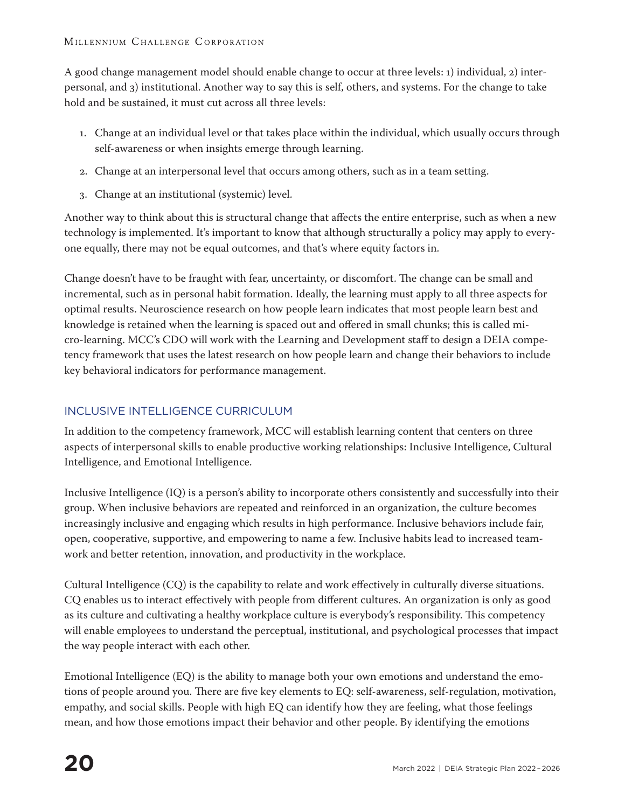<span id="page-23-0"></span>A good change management model should enable change to occur at three levels: 1) individual, 2) interpersonal, and 3) institutional. Another way to say this is self, others, and systems. For the change to take hold and be sustained, it must cut across all three levels:

- 1. Change at an individual level or that takes place within the individual, which usually occurs through self-awareness or when insights emerge through learning.
- 2. Change at an interpersonal level that occurs among others, such as in a team setting.
- 3. Change at an institutional (systemic) level.

Another way to think about this is structural change that affects the entire enterprise, such as when a new technology is implemented. It's important to know that although structurally a policy may apply to everyone equally, there may not be equal outcomes, and that's where equity factors in.

Change doesn't have to be fraught with fear, uncertainty, or discomfort. The change can be small and incremental, such as in personal habit formation. Ideally, the learning must apply to all three aspects for optimal results. Neuroscience research on how people learn indicates that most people learn best and knowledge is retained when the learning is spaced out and offered in small chunks; this is called micro-learning. MCC's CDO will work with the Learning and Development staff to design a DEIA competency framework that uses the latest research on how people learn and change their behaviors to include key behavioral indicators for performance management.

## INCLUSIVE INTELLIGENCE CURRICULUM

In addition to the competency framework, MCC will establish learning content that centers on three aspects of interpersonal skills to enable productive working relationships: Inclusive Intelligence, Cultural Intelligence, and Emotional Intelligence.

Inclusive Intelligence (IQ) is a person's ability to incorporate others consistently and successfully into their group. When inclusive behaviors are repeated and reinforced in an organization, the culture becomes increasingly inclusive and engaging which results in high performance. Inclusive behaviors include fair, open, cooperative, supportive, and empowering to name a few. Inclusive habits lead to increased teamwork and better retention, innovation, and productivity in the workplace.

Cultural Intelligence (CQ) is the capability to relate and work effectively in culturally diverse situations. CQ enables us to interact effectively with people from different cultures. An organization is only as good as its culture and cultivating a healthy workplace culture is everybody's responsibility. This competency will enable employees to understand the perceptual, institutional, and psychological processes that impact the way people interact with each other.

Emotional Intelligence (EQ) is the ability to manage both your own emotions and understand the emotions of people around you. There are five key elements to EQ: self-awareness, self-regulation, motivation, empathy, and social skills. People with high EQ can identify how they are feeling, what those feelings mean, and how those emotions impact their behavior and other people. By identifying the emotions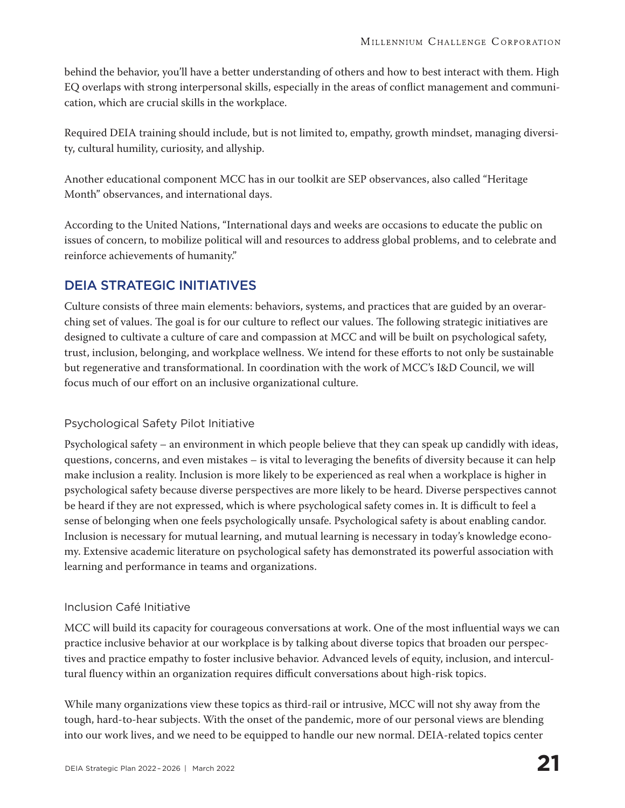<span id="page-24-0"></span>behind the behavior, you'll have a better understanding of others and how to best interact with them. High EQ overlaps with strong interpersonal skills, especially in the areas of conflict management and communication, which are crucial skills in the workplace.

Required DEIA training should include, but is not limited to, empathy, growth mindset, managing diversity, cultural humility, curiosity, and allyship.

Another educational component MCC has in our toolkit are SEP observances, also called "Heritage Month" observances, and international days.

According to the United Nations, "International days and weeks are occasions to educate the public on issues of concern, to mobilize political will and resources to address global problems, and to celebrate and reinforce achievements of humanity."

# DEIA STRATEGIC INITIATIVES

Culture consists of three main elements: behaviors, systems, and practices that are guided by an overarching set of values. The goal is for our culture to reflect our values. The following strategic initiatives are designed to cultivate a culture of care and compassion at MCC and will be built on psychological safety, trust, inclusion, belonging, and workplace wellness. We intend for these efforts to not only be sustainable but regenerative and transformational. In coordination with the work of MCC's I&D Council, we will focus much of our effort on an inclusive organizational culture.

## Psychological Safety Pilot Initiative

Psychological safety – an environment in which people believe that they can speak up candidly with ideas, questions, concerns, and even mistakes – is vital to leveraging the benefits of diversity because it can help make inclusion a reality. Inclusion is more likely to be experienced as real when a workplace is higher in psychological safety because diverse perspectives are more likely to be heard. Diverse perspectives cannot be heard if they are not expressed, which is where psychological safety comes in. It is difficult to feel a sense of belonging when one feels psychologically unsafe. Psychological safety is about enabling candor. Inclusion is necessary for mutual learning, and mutual learning is necessary in today's knowledge economy. Extensive academic literature on psychological safety has demonstrated its powerful association with learning and performance in teams and organizations.

## Inclusion Café Initiative

MCC will build its capacity for courageous conversations at work. One of the most influential ways we can practice inclusive behavior at our workplace is by talking about diverse topics that broaden our perspectives and practice empathy to foster inclusive behavior. Advanced levels of equity, inclusion, and intercultural fluency within an organization requires difficult conversations about high-risk topics.

While many organizations view these topics as third-rail or intrusive, MCC will not shy away from the tough, hard-to-hear subjects. With the onset of the pandemic, more of our personal views are blending into our work lives, and we need to be equipped to handle our new normal. DEIA-related topics center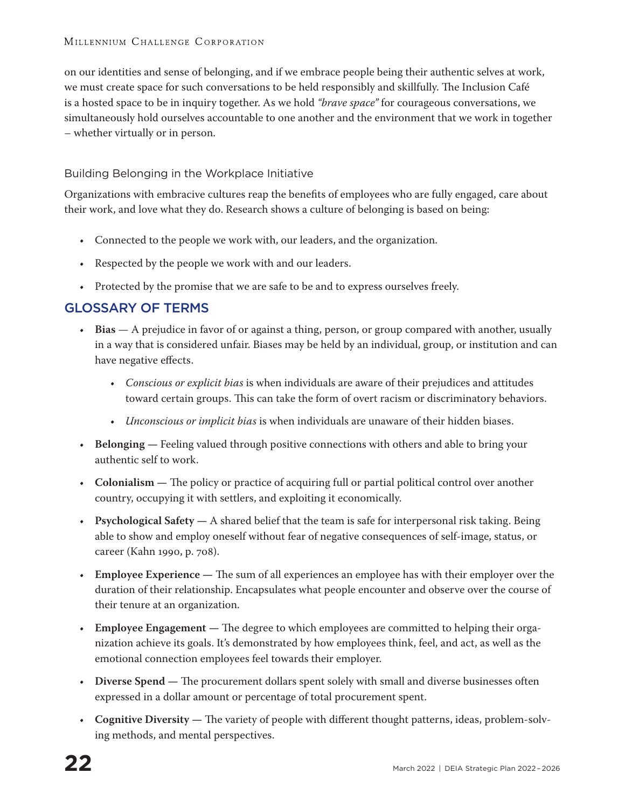<span id="page-25-0"></span>on our identities and sense of belonging, and if we embrace people being their authentic selves at work, we must create space for such conversations to be held responsibly and skillfully. The Inclusion Café is a hosted space to be in inquiry together. As we hold *"brave space"* for courageous conversations, we simultaneously hold ourselves accountable to one another and the environment that we work in together – whether virtually or in person.

## Building Belonging in the Workplace Initiative

Organizations with embracive cultures reap the benefits of employees who are fully engaged, care about their work, and love what they do. Research shows a culture of belonging is based on being:

- Connected to the people we work with, our leaders, and the organization.
- Respected by the people we work with and our leaders.
- Protected by the promise that we are safe to be and to express ourselves freely.

# GLOSSARY OF TERMS

- **Bias** A prejudice in favor of or against a thing, person, or group compared with another, usually in a way that is considered unfair. Biases may be held by an individual, group, or institution and can have negative effects.
	- *Conscious or explicit bias* is when individuals are aware of their prejudices and attitudes toward certain groups. This can take the form of overt racism or discriminatory behaviors.
	- *Unconscious or implicit bias* is when individuals are unaware of their hidden biases.
- **Belonging** Feeling valued through positive connections with others and able to bring your authentic self to work.
- **Colonialism** The policy or practice of acquiring full or partial political control over another country, occupying it with settlers, and exploiting it economically.
- **Psychological Safety** A shared belief that the team is safe for interpersonal risk taking. Being able to show and employ oneself without fear of negative consequences of self-image, status, or career (Kahn 1990, p. 708).
- **Employee Experience** The sum of all experiences an employee has with their employer over the duration of their relationship. Encapsulates what people encounter and observe over the course of their tenure at an organization.
- **Employee Engagement** The degree to which employees are committed to helping their organization achieve its goals. It's demonstrated by how employees think, feel, and act, as well as the emotional connection employees feel towards their employer.
- **Diverse Spend** The procurement dollars spent solely with small and diverse businesses often expressed in a dollar amount or percentage of total procurement spent.
- **Cognitive Diversity** The variety of people with different thought patterns, ideas, problem-solving methods, and mental perspectives.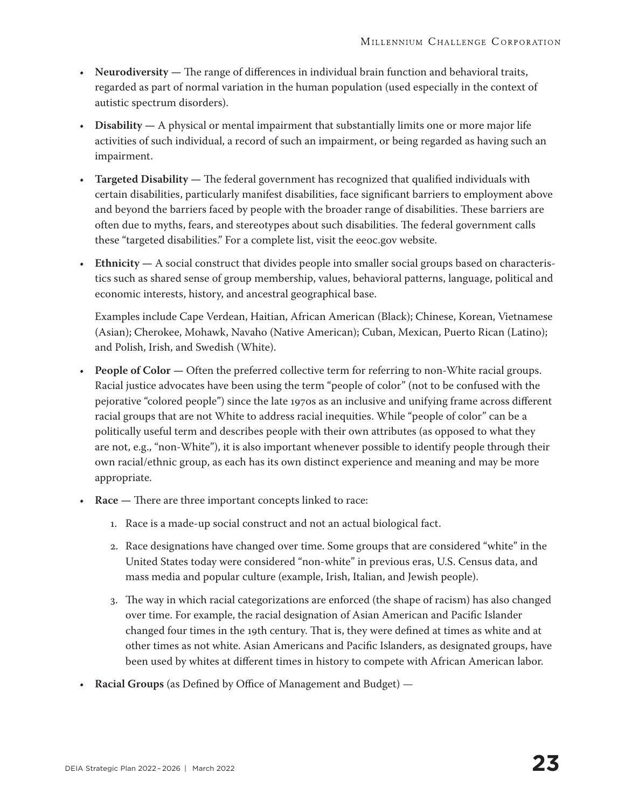- **Neurodiversity** The range of differences in individual brain function and behavioral traits, regarded as part of normal variation in the human population (used especially in the context of autistic spectrum disorders).
- **Disability** A physical or mental impairment that substantially limits one or more major life activities of such individual, a record of such an impairment, or being regarded as having such an impairment.
- **Targeted Disability** The federal government has recognized that qualified individuals with certain disabilities, particularly manifest disabilities, face significant barriers to employment above and beyond the barriers faced by people with the broader range of disabilities. These barriers are often due to myths, fears, and stereotypes about such disabilities. The federal government calls these "targeted disabilities." For a complete list, visit the eeoc.gov website.
- **Ethnicity** A social construct that divides people into smaller social groups based on characteristics such as shared sense of group membership, values, behavioral patterns, language, political and economic interests, history, and ancestral geographical base.

Examples include Cape Verdean, Haitian, African American (Black); Chinese, Korean, Vietnamese (Asian); Cherokee, Mohawk, Navaho (Native American); Cuban, Mexican, Puerto Rican (Latino); and Polish, Irish, and Swedish (White).

- **People of Color** Often the preferred collective term for referring to non-White racial groups. Racial justice advocates have been using the term "people of color" (not to be confused with the pejorative "colored people") since the late 1970s as an inclusive and unifying frame across different racial groups that are not White to address racial inequities. While "people of color" can be a politically useful term and describes people with their own attributes (as opposed to what they are not, e.g., "non-White"), it is also important whenever possible to identify people through their own racial/ethnic group, as each has its own distinct experience and meaning and may be more appropriate.
- **Race** There are three important concepts linked to race:
	- 1. Race is a made-up social construct and not an actual biological fact.
	- 2. Race designations have changed over time. Some groups that are considered "white" in the United States today were considered "non-white" in previous eras, U.S. Census data, and mass media and popular culture (example, Irish, Italian, and Jewish people).
	- 3. The way in which racial categorizations are enforced (the shape of racism) has also changed over time. For example, the racial designation of Asian American and Pacific Islander changed four times in the 19th century. That is, they were defined at times as white and at other times as not white. Asian Americans and Pacific Islanders, as designated groups, have been used by whites at different times in history to compete with African American labor.
- **Racial Groups** (as Defined by Office of Management and Budget) —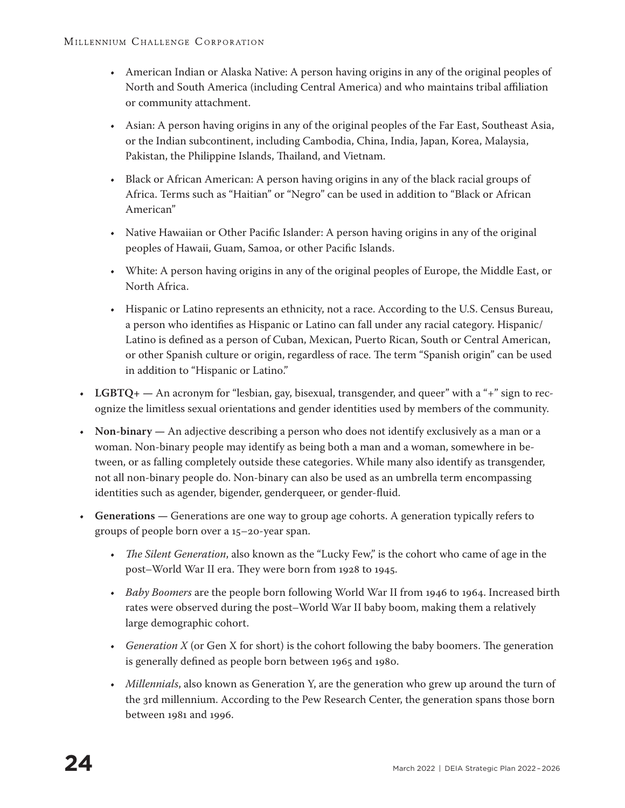- American Indian or Alaska Native: A person having origins in any of the original peoples of North and South America (including Central America) and who maintains tribal affiliation or community attachment.
- Asian: A person having origins in any of the original peoples of the Far East, Southeast Asia, or the Indian subcontinent, including Cambodia, China, India, Japan, Korea, Malaysia, Pakistan, the Philippine Islands, Thailand, and Vietnam.
- Black or African American: A person having origins in any of the black racial groups of Africa. Terms such as "Haitian" or "Negro" can be used in addition to "Black or African American"
- Native Hawaiian or Other Pacific Islander: A person having origins in any of the original peoples of Hawaii, Guam, Samoa, or other Pacific Islands.
- White: A person having origins in any of the original peoples of Europe, the Middle East, or North Africa.
- Hispanic or Latino represents an ethnicity, not a race. According to the U.S. Census Bureau, a person who identifies as Hispanic or Latino can fall under any racial category. Hispanic/ Latino is defined as a person of Cuban, Mexican, Puerto Rican, South or Central American, or other Spanish culture or origin, regardless of race. The term "Spanish origin" can be used in addition to "Hispanic or Latino."
- LGBTQ+ An acronym for "lesbian, gay, bisexual, transgender, and queer" with a "+" sign to recognize the limitless sexual orientations and gender identities used by members of the community.
- **Non-binary** An adjective describing a person who does not identify exclusively as a man or a woman. Non-binary people may identify as being both a man and a woman, somewhere in between, or as falling completely outside these categories. While many also identify as transgender, not all non-binary people do. Non-binary can also be used as an umbrella term encompassing identities such as agender, bigender, genderqueer, or gender-fluid.
- **Generations** Generations are one way to group age cohorts. A generation typically refers to groups of people born over a 15–20-year span.
	- *The Silent Generation*, also known as the "Lucky Few," is the cohort who came of age in the post–World War II era. They were born from 1928 to 1945.
	- *Baby Boomers* are the people born following World War II from 1946 to 1964. Increased birth rates were observed during the post–World War II baby boom, making them a relatively large demographic cohort.
	- *Generation X* (or Gen X for short) is the cohort following the baby boomers. The generation is generally defined as people born between 1965 and 1980.
	- *Millennials*, also known as Generation Y, are the generation who grew up around the turn of the 3rd millennium. According to the Pew Research Center, the generation spans those born between 1981 and 1996.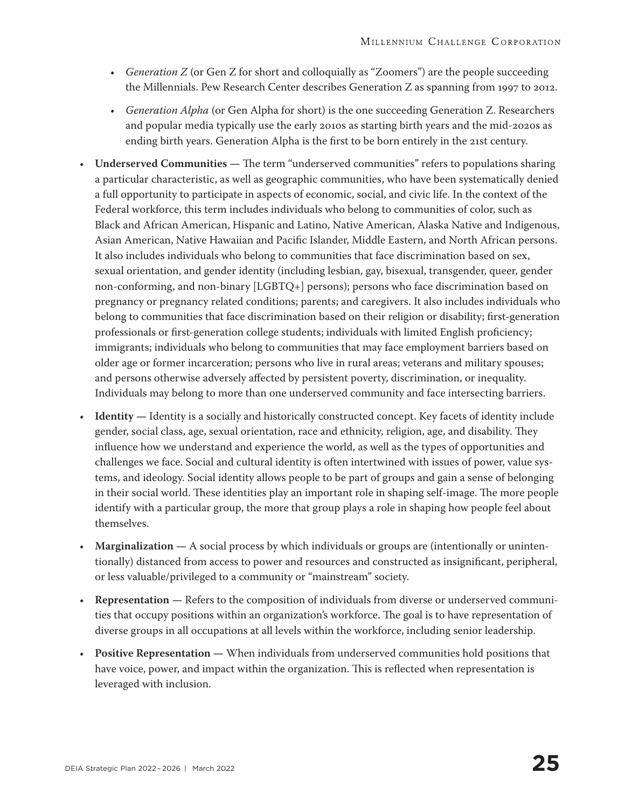- *Generation Z* (or Gen Z for short and colloquially as "Zoomers") are the people succeeding the Millennials. Pew Research Center describes Generation Z as spanning from 1997 to 2012.
- *Generation Alpha* (or Gen Alpha for short) is the one succeeding Generation Z. Researchers and popular media typically use the early 2010s as starting birth years and the mid-2020s as ending birth years. Generation Alpha is the first to be born entirely in the 21st century.
- **Underserved Communities** The term ''underserved communities'' refers to populations sharing a particular characteristic, as well as geographic communities, who have been systematically denied a full opportunity to participate in aspects of economic, social, and civic life. In the context of the Federal workforce, this term includes individuals who belong to communities of color, such as Black and African American, Hispanic and Latino, Native American, Alaska Native and Indigenous, Asian American, Native Hawaiian and Pacific Islander, Middle Eastern, and North African persons. It also includes individuals who belong to communities that face discrimination based on sex, sexual orientation, and gender identity (including lesbian, gay, bisexual, transgender, queer, gender non-conforming, and non-binary [LGBTQ+] persons); persons who face discrimination based on pregnancy or pregnancy related conditions; parents; and caregivers. It also includes individuals who belong to communities that face discrimination based on their religion or disability; first-generation professionals or first-generation college students; individuals with limited English proficiency; immigrants; individuals who belong to communities that may face employment barriers based on older age or former incarceration; persons who live in rural areas; veterans and military spouses; and persons otherwise adversely affected by persistent poverty, discrimination, or inequality. Individuals may belong to more than one underserved community and face intersecting barriers.
- **Identity** Identity is a socially and historically constructed concept. Key facets of identity include gender, social class, age, sexual orientation, race and ethnicity, religion, age, and disability. They influence how we understand and experience the world, as well as the types of opportunities and challenges we face. Social and cultural identity is often intertwined with issues of power, value systems, and ideology. Social identity allows people to be part of groups and gain a sense of belonging in their social world. These identities play an important role in shaping self-image. The more people identify with a particular group, the more that group plays a role in shaping how people feel about themselves.
- **Marginalization** A social process by which individuals or groups are (intentionally or unintentionally) distanced from access to power and resources and constructed as insignificant, peripheral, or less valuable/privileged to a community or "mainstream" society.
- **Representation** Refers to the composition of individuals from diverse or underserved communities that occupy positions within an organization's workforce. The goal is to have representation of diverse groups in all occupations at all levels within the workforce, including senior leadership.
- **Positive Representation** When individuals from underserved communities hold positions that have voice, power, and impact within the organization. This is reflected when representation is leveraged with inclusion.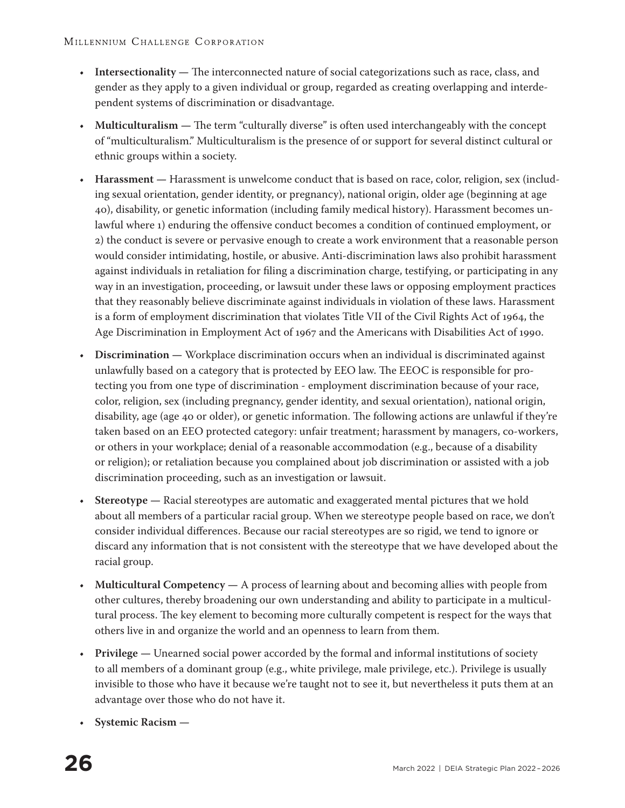#### MILLENNIUM CHALLENGE CORPORATION

- **Intersectionality** The interconnected nature of social categorizations such as race, class, and gender as they apply to a given individual or group, regarded as creating overlapping and interdependent systems of discrimination or disadvantage.
- **Multiculturalism** The term "culturally diverse" is often used interchangeably with the concept of "multiculturalism." Multiculturalism is the presence of or support for several distinct cultural or ethnic groups within a society.
- **Harassment** Harassment is unwelcome conduct that is based on race, color, religion, sex (including sexual orientation, gender identity, or pregnancy), national origin, older age (beginning at age 40), disability, or genetic information (including family medical history). Harassment becomes unlawful where 1) enduring the offensive conduct becomes a condition of continued employment, or 2) the conduct is severe or pervasive enough to create a work environment that a reasonable person would consider intimidating, hostile, or abusive. Anti-discrimination laws also prohibit harassment against individuals in retaliation for filing a discrimination charge, testifying, or participating in any way in an investigation, proceeding, or lawsuit under these laws or opposing employment practices that they reasonably believe discriminate against individuals in violation of these laws. Harassment is a form of employment discrimination that violates Title VII of the Civil Rights Act of 1964, the Age Discrimination in Employment Act of 1967 and the Americans with Disabilities Act of 1990.
- **Discrimination** Workplace discrimination occurs when an individual is discriminated against unlawfully based on a category that is protected by EEO law. The EEOC is responsible for protecting you from one type of discrimination - employment discrimination because of your race, color, religion, sex (including pregnancy, gender identity, and sexual orientation), national origin, disability, age (age 40 or older), or genetic information. The following actions are unlawful if they're taken based on an EEO protected category: unfair treatment; harassment by managers, co-workers, or others in your workplace; denial of a reasonable accommodation (e.g., because of a disability or religion); or retaliation because you complained about job discrimination or assisted with a job discrimination proceeding, such as an investigation or lawsuit.
- **Stereotype** Racial stereotypes are automatic and exaggerated mental pictures that we hold about all members of a particular racial group. When we stereotype people based on race, we don't consider individual differences. Because our racial stereotypes are so rigid, we tend to ignore or discard any information that is not consistent with the stereotype that we have developed about the racial group.
- **Multicultural Competency** A process of learning about and becoming allies with people from other cultures, thereby broadening our own understanding and ability to participate in a multicultural process. The key element to becoming more culturally competent is respect for the ways that others live in and organize the world and an openness to learn from them.
- **Privilege** Unearned social power accorded by the formal and informal institutions of society to all members of a dominant group (e.g., white privilege, male privilege, etc.). Privilege is usually invisible to those who have it because we're taught not to see it, but nevertheless it puts them at an advantage over those who do not have it.
- **Systemic Racism**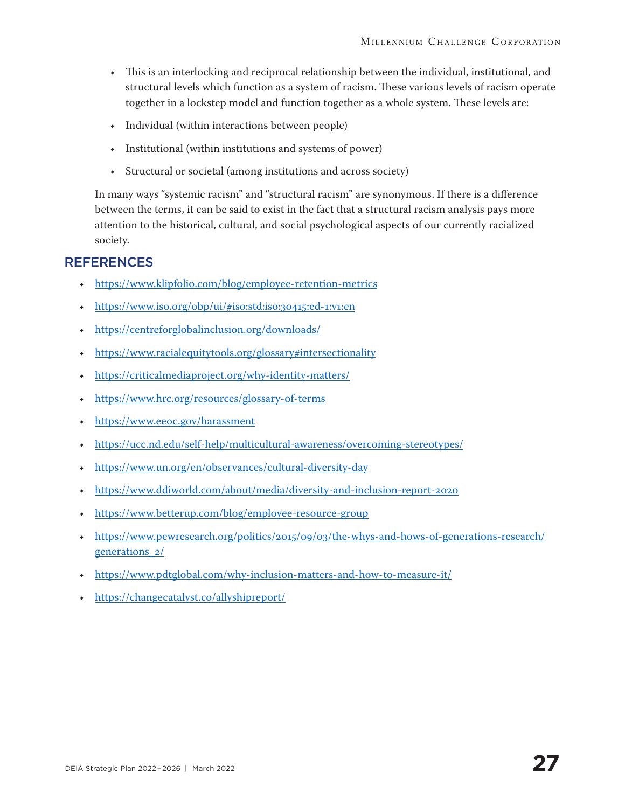- <span id="page-30-0"></span>• This is an interlocking and reciprocal relationship between the individual, institutional, and structural levels which function as a system of racism. These various levels of racism operate together in a lockstep model and function together as a whole system. These levels are:
- Individual (within interactions between people)
- Institutional (within institutions and systems of power)
- Structural or societal (among institutions and across society)

In many ways "systemic racism" and "structural racism" are synonymous. If there is a difference between the terms, it can be said to exist in the fact that a structural racism analysis pays more attention to the historical, cultural, and social psychological aspects of our currently racialized society.

## REFERENCES

- <https://www.klipfolio.com/blog/employee-retention-metrics>
- https://www.iso.org/obp/ui/#iso:std:iso:30415:ed-1:v1:en
- <https://centreforglobalinclusion.org/downloads/>
- https://www.racialequitytools.org/glossary#intersectionality
- <https://criticalmediaproject.org/why-identity-matters/>
- <https://www.hrc.org/resources/glossary-of-terms>
- <https://www.eeoc.gov/harassment>
- <https://ucc.nd.edu/self-help/multicultural-awareness/overcoming-stereotypes/>
- <https://www.un.org/en/observances/cultural-diversity-day>
- <https://www.ddiworld.com/about/media/diversity-and-inclusion-report-2020>
- <https://www.betterup.com/blog/employee-resource-group>
- [https://www.pewresearch.org/politics/2015/09/03/the-whys-and-hows-of-generations-research/](https://www.pewresearch.org/politics/2015/09/03/the-whys-and-hows-of-generations-research/generations_2/) [generations\\_2/](https://www.pewresearch.org/politics/2015/09/03/the-whys-and-hows-of-generations-research/generations_2/)
- <https://www.pdtglobal.com/why-inclusion-matters-and-how-to-measure-it/>
- <https://changecatalyst.co/allyshipreport/>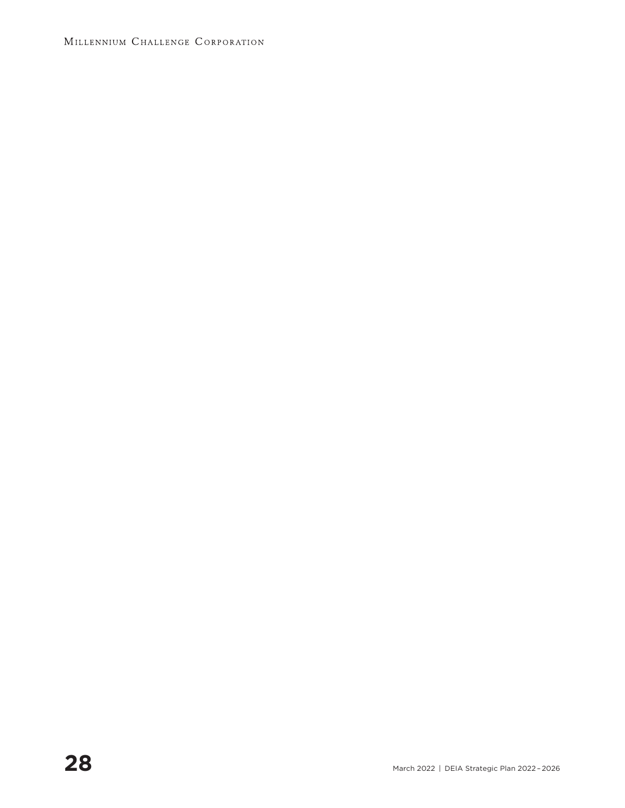#### MILLENNIUM CHALLENGE CORPORATION